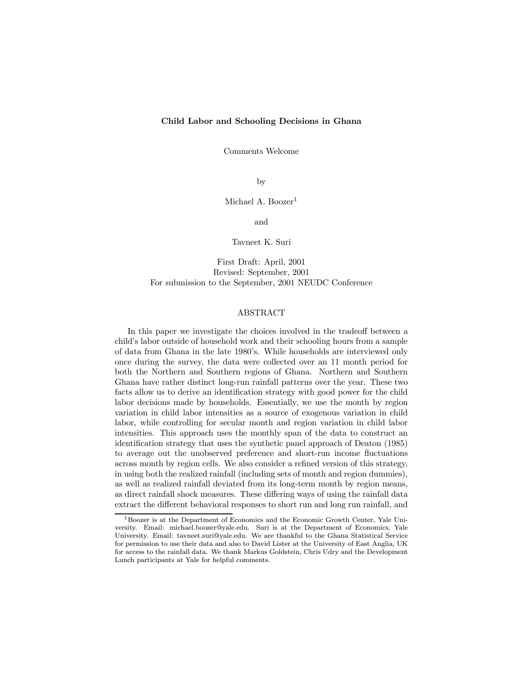### Child Labor and Schooling Decisions in Ghana

Comments Welcome

by

Michael A. Boozer<sup>1</sup>

and

Tavneet K. Suri

First Draft: April, 2001 Revised: September, 2001 For submission to the September, 2001 NEUDC Conference

#### ABSTRACT

In this paper we investigate the choices involved in the tradeoff between a child's labor outside of household work and their schooling hours from a sample of data from Ghana in the late 1980's. While households are interviewed only once during the survey, the data were collected over an 11 month period for both the Northern and Southern regions of Ghana. Northern and Southern Ghana have rather distinct long-run rainfall patterns over the year. These two facts allow us to derive an identification strategy with good power for the child labor decisions made by households. Essentially, we use the month by region variation in child labor intensities as a source of exogenous variation in child labor, while controlling for secular month and region variation in child labor intensities. This approach uses the monthly span of the data to construct an identification strategy that uses the synthetic panel approach of Deaton (1985) to average out the unobserved preference and short-run income fluctuations across month by region cells. We also consider a refined version of this strategy, in using both the realized rainfall (including sets of month and region dummies), as well as realized rainfall deviated from its long-term month by region means, as direct rainfall shock measures. These differing ways of using the rainfall data extract the different behavioral responses to short run and long run rainfall, and

<sup>&</sup>lt;sup>1</sup>Boozer is at the Department of Economics and the Economic Growth Center, Yale University. Email: michael.boozer@yale.edu. Suri is at the Department of Economics, Yale University. Email: tavneet.suri@yale.edu. We are thankful to the Ghana Statistical Service for permission to use their data and also to David Lister at the University of East Anglia, UK for access to the rainfall data. We thank Markus Goldstein, Chris Udry and the Development Lunch participants at Yale for helpful comments.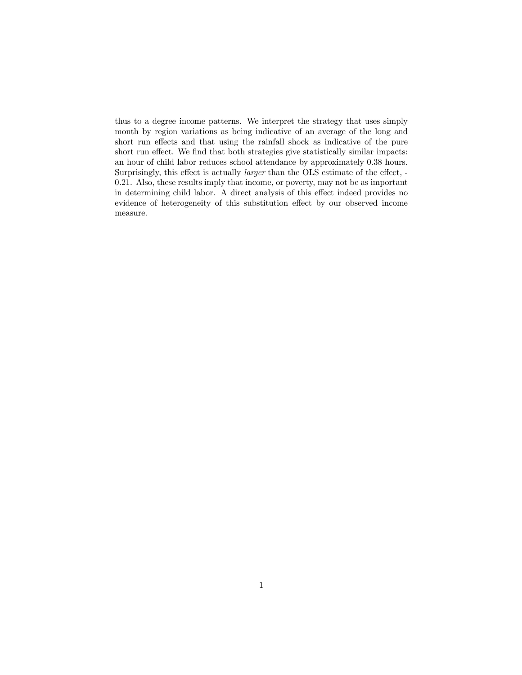thus to a degree income patterns. We interpret the strategy that uses simply month by region variations as being indicative of an average of the long and short run effects and that using the rainfall shock as indicative of the pure short run effect. We find that both strategies give statistically similar impacts: an hour of child labor reduces school attendance by approximately 0.38 hours. Surprisingly, this effect is actually *larger* than the OLS estimate of the effect, -0.21. Also, these results imply that income, or poverty, may not be as important in determining child labor. A direct analysis of this effect indeed provides no evidence of heterogeneity of this substitution effect by our observed income measure.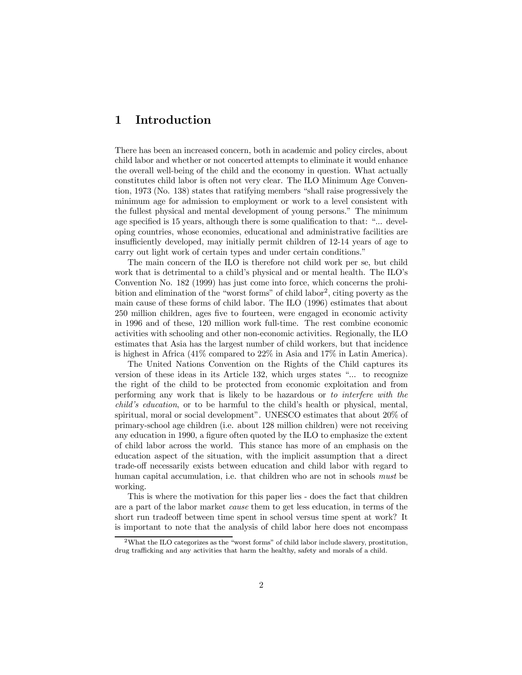## 1 Introduction

There has been an increased concern, both in academic and policy circles, about child labor and whether or not concerted attempts to eliminate it would enhance the overall well-being of the child and the economy in question. What actually constitutes child labor is often not very clear. The ILO Minimum Age Convention,  $1973$  (No. 138) states that ratifying members "shall raise progressively the minimum age for admission to employment or work to a level consistent with the fullest physical and mental development of young persons." The minimum age specified is 15 years, although there is some qualification to that: "... developing countries, whose economies, educational and administrative facilities are insufficiently developed, may initially permit children of 12-14 years of age to carry out light work of certain types and under certain conditions."

The main concern of the ILO is therefore not child work per se, but child work that is detrimental to a child's physical and or mental health. The ILO's Convention No. 182 (1999) has just come into force, which concerns the prohibition and elimination of the "worst forms" of child labor<sup>2</sup>, citing poverty as the main cause of these forms of child labor. The ILO (1996) estimates that about 250 million children, ages five to fourteen, were engaged in economic activity in 1996 and of these, 120 million work full-time. The rest combine economic activities with schooling and other non-economic activities. Regionally, the ILO estimates that Asia has the largest number of child workers, but that incidence is highest in Africa (41% compared to 22% in Asia and 17% in Latin America).

The United Nations Convention on the Rights of the Child captures its version of these ideas in its Article 132, which urges states "... to recognize the right of the child to be protected from economic exploitation and from performing any work that is likely to be hazardous or to interfere with the child's education, or to be harmful to the child's health or physical, mental, spiritual, moral or social development". UNESCO estimates that about 20% of primary-school age children (i.e. about 128 million children) were not receiving any education in 1990, a figure often quoted by the ILO to emphasize the extent of child labor across the world. This stance has more of an emphasis on the education aspect of the situation, with the implicit assumption that a direct trade-off necessarily exists between education and child labor with regard to human capital accumulation, i.e. that children who are not in schools *must* be working.

This is where the motivation for this paper lies - does the fact that children are a part of the labor market cause them to get less education, in terms of the short run tradeoff between time spent in school versus time spent at work? It is important to note that the analysis of child labor here does not encompass

 $2$ What the ILO categorizes as the "worst forms" of child labor include slavery, prostitution, drug trafficking and any activities that harm the healthy, safety and morals of a child.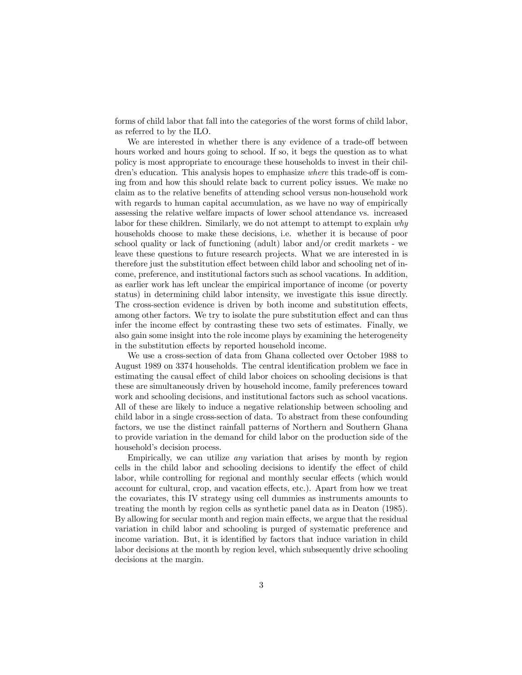forms of child labor that fall into the categories of the worst forms of child labor, as referred to by the ILO.

We are interested in whether there is any evidence of a trade-off between hours worked and hours going to school. If so, it begs the question as to what policy is most appropriate to encourage these households to invest in their children's education. This analysis hopes to emphasize where this trade-off is coming from and how this should relate back to current policy issues. We make no claim as to the relative benefits of attending school versus non-household work with regards to human capital accumulation, as we have no way of empirically assessing the relative welfare impacts of lower school attendance vs. increased labor for these children. Similarly, we do not attempt to attempt to explain why households choose to make these decisions, i.e. whether it is because of poor school quality or lack of functioning (adult) labor and/or credit markets - we leave these questions to future research projects. What we are interested in is therefore just the substitution effect between child labor and schooling net of income, preference, and institutional factors such as school vacations. In addition, as earlier work has left unclear the empirical importance of income (or poverty status) in determining child labor intensity, we investigate this issue directly. The cross-section evidence is driven by both income and substitution effects, among other factors. We try to isolate the pure substitution effect and can thus infer the income effect by contrasting these two sets of estimates. Finally, we also gain some insight into the role income plays by examining the heterogeneity in the substitution effects by reported household income.

We use a cross-section of data from Ghana collected over October 1988 to August 1989 on 3374 households. The central identification problem we face in estimating the causal effect of child labor choices on schooling decisions is that these are simultaneously driven by household income, family preferences toward work and schooling decisions, and institutional factors such as school vacations. All of these are likely to induce a negative relationship between schooling and child labor in a single cross-section of data. To abstract from these confounding factors, we use the distinct rainfall patterns of Northern and Southern Ghana to provide variation in the demand for child labor on the production side of the household's decision process.

Empirically, we can utilize any variation that arises by month by region cells in the child labor and schooling decisions to identify the effect of child labor, while controlling for regional and monthly secular effects (which would account for cultural, crop, and vacation effects, etc.). Apart from how we treat the covariates, this IV strategy using cell dummies as instruments amounts to treating the month by region cells as synthetic panel data as in Deaton (1985). By allowing for secular month and region main effects, we argue that the residual variation in child labor and schooling is purged of systematic preference and income variation. But, it is identified by factors that induce variation in child labor decisions at the month by region level, which subsequently drive schooling decisions at the margin.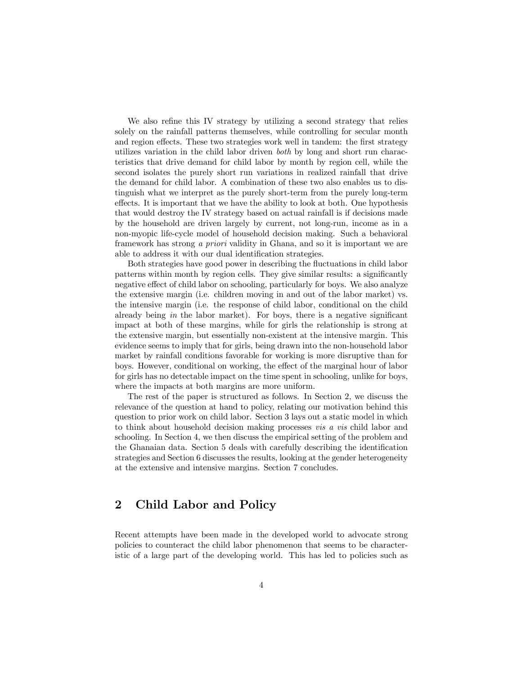We also refine this IV strategy by utilizing a second strategy that relies solely on the rainfall patterns themselves, while controlling for secular month and region effects. These two strategies work well in tandem: the first strategy utilizes variation in the child labor driven both by long and short run characteristics that drive demand for child labor by month by region cell, while the second isolates the purely short run variations in realized rainfall that drive the demand for child labor. A combination of these two also enables us to distinguish what we interpret as the purely short-term from the purely long-term effects. It is important that we have the ability to look at both. One hypothesis that would destroy the IV strategy based on actual rainfall is if decisions made by the household are driven largely by current, not long-run, income as in a non-myopic life-cycle model of household decision making. Such a behavioral framework has strong a priori validity in Ghana, and so it is important we are able to address it with our dual identification strategies.

Both strategies have good power in describing the fluctuations in child labor patterns within month by region cells. They give similar results: a significantly negative effect of child labor on schooling, particularly for boys. We also analyze the extensive margin (i.e. children moving in and out of the labor market) vs. the intensive margin (i.e. the response of child labor, conditional on the child already being in the labor market). For boys, there is a negative significant impact at both of these margins, while for girls the relationship is strong at the extensive margin, but essentially non-existent at the intensive margin. This evidence seems to imply that for girls, being drawn into the non-household labor market by rainfall conditions favorable for working is more disruptive than for boys. However, conditional on working, the effect of the marginal hour of labor for girls has no detectable impact on the time spent in schooling, unlike for boys, where the impacts at both margins are more uniform.

The rest of the paper is structured as follows. In Section 2, we discuss the relevance of the question at hand to policy, relating our motivation behind this question to prior work on child labor. Section 3 lays out a static model in which to think about household decision making processes vis a vis child labor and schooling. In Section 4, we then discuss the empirical setting of the problem and the Ghanaian data. Section 5 deals with carefully describing the identification strategies and Section 6 discusses the results, looking at the gender heterogeneity at the extensive and intensive margins. Section 7 concludes.

## 2 Child Labor and Policy

Recent attempts have been made in the developed world to advocate strong policies to counteract the child labor phenomenon that seems to be characteristic of a large part of the developing world. This has led to policies such as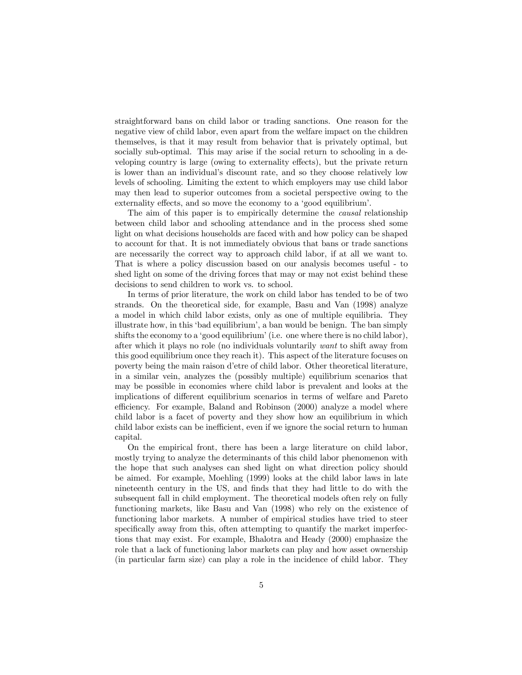straightforward bans on child labor or trading sanctions. One reason for the negative view of child labor, even apart from the welfare impact on the children themselves, is that it may result from behavior that is privately optimal, but socially sub-optimal. This may arise if the social return to schooling in a developing country is large (owing to externality effects), but the private return is lower than an individual's discount rate, and so they choose relatively low levels of schooling. Limiting the extent to which employers may use child labor may then lead to superior outcomes from a societal perspective owing to the externality effects, and so move the economy to a 'good equilibrium'.

The aim of this paper is to empirically determine the causal relationship between child labor and schooling attendance and in the process shed some light on what decisions households are faced with and how policy can be shaped to account for that. It is not immediately obvious that bans or trade sanctions are necessarily the correct way to approach child labor, if at all we want to. That is where a policy discussion based on our analysis becomes useful - to shed light on some of the driving forces that may or may not exist behind these decisions to send children to work vs. to school.

In terms of prior literature, the work on child labor has tended to be of two strands. On the theoretical side, for example, Basu and Van (1998) analyze a model in which child labor exists, only as one of multiple equilibria. They illustrate how, in this 'bad equilibrium', a ban would be benign. The ban simply shifts the economy to a 'good equilibrium' (i.e. one where there is no child labor), after which it plays no role (no individuals voluntarily want to shift away from this good equilibrium once they reach it). This aspect of the literature focuses on poverty being the main raison d'etre of child labor. Other theoretical literature, in a similar vein, analyzes the (possibly multiple) equilibrium scenarios that may be possible in economies where child labor is prevalent and looks at the implications of different equilibrium scenarios in terms of welfare and Pareto efficiency. For example, Baland and Robinson (2000) analyze a model where child labor is a facet of poverty and they show how an equilibrium in which child labor exists can be inefficient, even if we ignore the social return to human capital.

On the empirical front, there has been a large literature on child labor, mostly trying to analyze the determinants of this child labor phenomenon with the hope that such analyses can shed light on what direction policy should be aimed. For example, Moehling (1999) looks at the child labor laws in late nineteenth century in the US, and finds that they had little to do with the subsequent fall in child employment. The theoretical models often rely on fully functioning markets, like Basu and Van (1998) who rely on the existence of functioning labor markets. A number of empirical studies have tried to steer specifically away from this, often attempting to quantify the market imperfections that may exist. For example, Bhalotra and Heady (2000) emphasize the role that a lack of functioning labor markets can play and how asset ownership (in particular farm size) can play a role in the incidence of child labor. They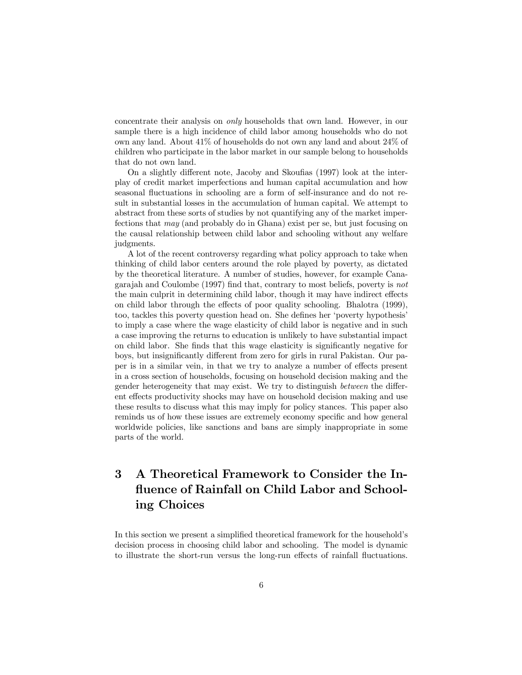concentrate their analysis on only households that own land. However, in our sample there is a high incidence of child labor among households who do not own any land. About 41% of households do not own any land and about 24% of children who participate in the labor market in our sample belong to households that do not own land.

On a slightly different note, Jacoby and Skoufias (1997) look at the interplay of credit market imperfections and human capital accumulation and how seasonal fluctuations in schooling are a form of self-insurance and do not result in substantial losses in the accumulation of human capital. We attempt to abstract from these sorts of studies by not quantifying any of the market imperfections that may (and probably do in Ghana) exist per se, but just focusing on the causal relationship between child labor and schooling without any welfare judgments.

A lot of the recent controversy regarding what policy approach to take when thinking of child labor centers around the role played by poverty, as dictated by the theoretical literature. A number of studies, however, for example Canagarajah and Coulombe (1997) find that, contrary to most beliefs, poverty is not the main culprit in determining child labor, though it may have indirect effects on child labor through the effects of poor quality schooling. Bhalotra (1999), too, tackles this poverty question head on. She defines her 'poverty hypothesis' to imply a case where the wage elasticity of child labor is negative and in such a case improving the returns to education is unlikely to have substantial impact on child labor. She finds that this wage elasticity is significantly negative for boys, but insignificantly different from zero for girls in rural Pakistan. Our paper is in a similar vein, in that we try to analyze a number of effects present in a cross section of households, focusing on household decision making and the gender heterogeneity that may exist. We try to distinguish between the different effects productivity shocks may have on household decision making and use these results to discuss what this may imply for policy stances. This paper also reminds us of how these issues are extremely economy specific and how general worldwide policies, like sanctions and bans are simply inappropriate in some parts of the world.

# 3 A Theoretical Framework to Consider the Influence of Rainfall on Child Labor and Schooling Choices

In this section we present a simplified theoretical framework for the household's decision process in choosing child labor and schooling. The model is dynamic to illustrate the short-run versus the long-run effects of rainfall fluctuations.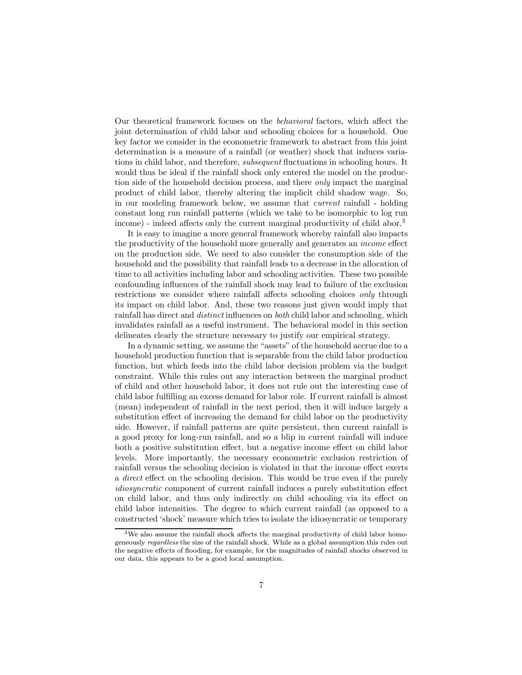Our theoretical framework focuses on the behavioral factors, which affect the joint determination of child labor and schooling choices for a household. One key factor we consider in the econometric framework to abstract from this joint determination is a measure of a rainfall (or weather) shock that induces variations in child labor, and therefore, subsequent fluctuations in schooling hours. It would thus be ideal if the rainfall shock only entered the model on the production side of the household decision process, and there only impact the marginal product of child labor, thereby altering the implicit child shadow wage. So, in our modeling framework below, we assume that current rainfall - holding constant long run rainfall patterns (which we take to be isomorphic to log run income) - indeed affects only the current marginal productivity of child abor.<sup>3</sup>

It is easy to imagine a more general framework whereby rainfall also impacts the productivity of the household more generally and generates an income effect on the production side. We need to also consider the consumption side of the household and the possibility that rainfall leads to a decrease in the allocation of time to all activities including labor and schooling activities. These two possible confounding influences of the rainfall shock may lead to failure of the exclusion restrictions we consider where rainfall affects schooling choices only through its impact on child labor. And, these two reasons just given would imply that rainfall has direct and distinct influences on both child labor and schooling, which invalidates rainfall as a useful instrument. The behavioral model in this section delineates clearly the structure necessary to justify our empirical strategy.

In a dynamic setting, we assume the "assets" of the household accrue due to a household production function that is separable from the child labor production function, but which feeds into the child labor decision problem via the budget constraint. While this rules out any interaction between the marginal product of child and other household labor, it does not rule out the interesting case of child labor fulfilling an excess demand for labor role. If current rainfall is almost (mean) independent of rainfall in the next period, then it will induce largely a substitution effect of increasing the demand for child labor on the productivity side. However, if rainfall patterns are quite persistent, then current rainfall is a good proxy for long-run rainfall, and so a blip in current rainfall will induce both a positive substitution effect, but a negative income effect on child labor levels. More importantly, the necessary econometric exclusion restriction of rainfall versus the schooling decision is violated in that the income effect exerts a direct effect on the schooling decision. This would be true even if the purely idiosyncratic component of current rainfall induces a purely substitution effect on child labor, and thus only indirectly on child schooling via its effect on child labor intensities. The degree to which current rainfall (as opposed to a constructed 'shock' measure which tries to isolate the idiosyncratic or temporary

 $3$ We also assume the rainfall shock affects the marginal productivity of child labor homogeneously regardless the size of the rainfall shock. While as a global assumption this rules out the negative effects of flooding, for example, for the magnitudes of rainfall shocks observed in our data, this appears to be a good local assumption.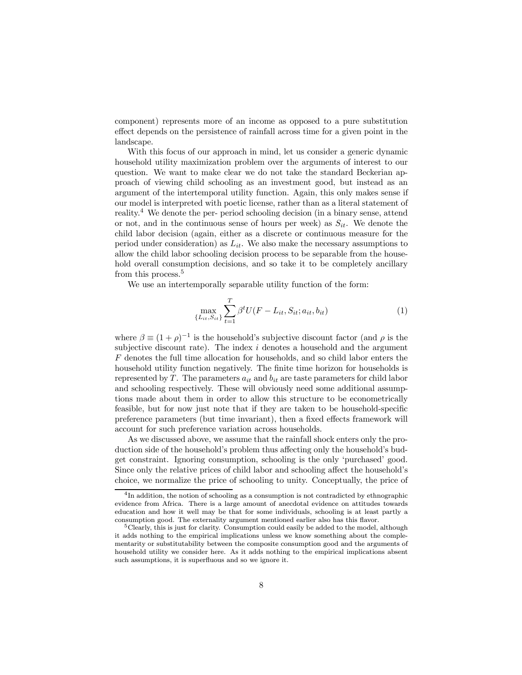component) represents more of an income as opposed to a pure substitution effect depends on the persistence of rainfall across time for a given point in the landscape.

With this focus of our approach in mind, let us consider a generic dynamic household utility maximization problem over the arguments of interest to our question. We want to make clear we do not take the standard Beckerian approach of viewing child schooling as an investment good, but instead as an argument of the intertemporal utility function. Again, this only makes sense if our model is interpreted with poetic license, rather than as a literal statement of reality.<sup>4</sup> We denote the per- period schooling decision (in a binary sense, attend or not, and in the continuous sense of hours per week) as  $S_{it}$ . We denote the child labor decision (again, either as a discrete or continuous measure for the period under consideration) as  $L_{it}$ . We also make the necessary assumptions to allow the child labor schooling decision process to be separable from the household overall consumption decisions, and so take it to be completely ancillary from this process.<sup>5</sup>

We use an intertemporally separable utility function of the form:

$$
\max_{\{L_{it}, S_{it}\}} \sum_{t=1}^{T} \beta^t U(F - L_{it}, S_{it}; a_{it}, b_{it})
$$
\n(1)

where  $\beta \equiv (1 + \rho)^{-1}$  is the household's subjective discount factor (and  $\rho$  is the subjective discount rate). The index  $i$  denotes a household and the argument F denotes the full time allocation for households, and so child labor enters the household utility function negatively. The finite time horizon for households is represented by T. The parameters  $a_{it}$  and  $b_{it}$  are taste parameters for child labor and schooling respectively. These will obviously need some additional assumptions made about them in order to allow this structure to be econometrically feasible, but for now just note that if they are taken to be household-specific preference parameters (but time invariant), then a fixed effects framework will account for such preference variation across households.

As we discussed above, we assume that the rainfall shock enters only the production side of the household's problem thus affecting only the household's budget constraint. Ignoring consumption, schooling is the only 'purchased' good. Since only the relative prices of child labor and schooling affect the household's choice, we normalize the price of schooling to unity. Conceptually, the price of

<sup>4</sup>In addition, the notion of schooling as a consumption is not contradicted by ethnographic evidence from Africa. There is a large amount of anecdotal evidence on attitudes towards education and how it well may be that for some individuals, schooling is at least partly a consumption good. The externality argument mentioned earlier also has this flavor.

 $5$ Clearly, this is just for clarity. Consumption could easily be added to the model, although it adds nothing to the empirical implications unless we know something about the complementarity or substitutability between the composite consumption good and the arguments of household utility we consider here. As it adds nothing to the empirical implications absent such assumptions, it is superfluous and so we ignore it.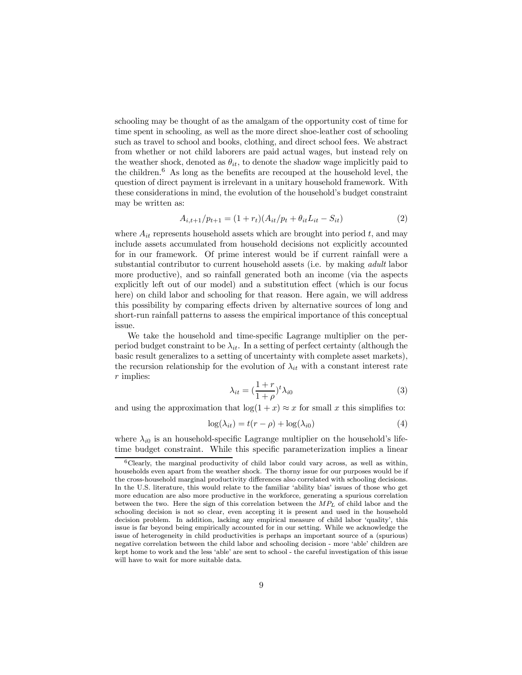schooling may be thought of as the amalgam of the opportunity cost of time for time spent in schooling, as well as the more direct shoe-leather cost of schooling such as travel to school and books, clothing, and direct school fees. We abstract from whether or not child laborers are paid actual wages, but instead rely on the weather shock, denoted as  $\theta_{it}$ , to denote the shadow wage implicitly paid to the children. $6$  As long as the benefits are recouped at the household level, the question of direct payment is irrelevant in a unitary household framework. With these considerations in mind, the evolution of the household's budget constraint may be written as:

$$
A_{i,t+1}/p_{t+1} = (1 + r_t)(A_{it}/p_t + \theta_{it}L_{it} - S_{it})
$$
\n(2)

where  $A_{it}$  represents household assets which are brought into period t, and may include assets accumulated from household decisions not explicitly accounted for in our framework. Of prime interest would be if current rainfall were a substantial contributor to current household assets (i.e. by making adult labor more productive), and so rainfall generated both an income (via the aspects explicitly left out of our model) and a substitution effect (which is our focus here) on child labor and schooling for that reason. Here again, we will address this possibility by comparing effects driven by alternative sources of long and short-run rainfall patterns to assess the empirical importance of this conceptual issue.

We take the household and time-specific Lagrange multiplier on the perperiod budget constraint to be  $\lambda_{it}$ . In a setting of perfect certainty (although the basic result generalizes to a setting of uncertainty with complete asset markets), the recursion relationship for the evolution of  $\lambda_{it}$  with a constant interest rate r implies:

$$
\lambda_{it} = \left(\frac{1+r}{1+\rho}\right)^t \lambda_{i0} \tag{3}
$$

and using the approximation that  $\log(1 + x) \approx x$  for small x this simplifies to:

$$
\log(\lambda_{it}) = t(r - \rho) + \log(\lambda_{i0})\tag{4}
$$

where  $\lambda_{i0}$  is an household-specific Lagrange multiplier on the household's lifetime budget constraint. While this specific parameterization implies a linear

 $6C$ learly, the marginal productivity of child labor could vary across, as well as within, households even apart from the weather shock. The thorny issue for our purposes would be if the cross-household marginal productivity differences also correlated with schooling decisions. In the U.S. literature, this would relate to the familiar 'ability bias' issues of those who get more education are also more productive in the workforce, generating a spurious correlation between the two. Here the sign of this correlation between the  $MP<sub>L</sub>$  of child labor and the schooling decision is not so clear, even accepting it is present and used in the household decision problem. In addition, lacking any empirical measure of child labor 'quality', this issue is far beyond being empirically accounted for in our setting. While we acknowledge the issue of heterogeneity in child productivities is perhaps an important source of a (spurious) negative correlation between the child labor and schooling decision - more 'able' children are kept home to work and the less 'able' are sent to school - the careful investigation of this issue will have to wait for more suitable data.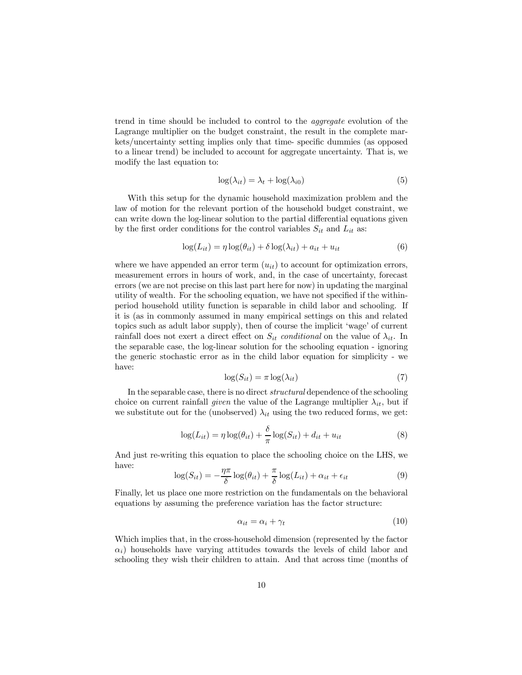trend in time should be included to control to the aggregate evolution of the Lagrange multiplier on the budget constraint, the result in the complete markets/uncertainty setting implies only that time- specific dummies (as opposed to a linear trend) be included to account for aggregate uncertainty. That is, we modify the last equation to:

$$
\log(\lambda_{it}) = \lambda_t + \log(\lambda_{i0})\tag{5}
$$

With this setup for the dynamic household maximization problem and the law of motion for the relevant portion of the household budget constraint, we can write down the log-linear solution to the partial differential equations given by the first order conditions for the control variables  $S_{it}$  and  $L_{it}$  as:

$$
\log(L_{it}) = \eta \log(\theta_{it}) + \delta \log(\lambda_{it}) + a_{it} + u_{it}
$$
\n(6)

where we have appended an error term  $(u_{it})$  to account for optimization errors, measurement errors in hours of work, and, in the case of uncertainty, forecast errors (we are not precise on this last part here for now) in updating the marginal utility of wealth. For the schooling equation, we have not specified if the withinperiod household utility function is separable in child labor and schooling. If it is (as in commonly assumed in many empirical settings on this and related topics such as adult labor supply), then of course the implicit 'wage' of current rainfall does not exert a direct effect on  $S_{it}$  conditional on the value of  $\lambda_{it}$ . In the separable case, the log-linear solution for the schooling equation - ignoring the generic stochastic error as in the child labor equation for simplicity - we have:

$$
\log(S_{it}) = \pi \log(\lambda_{it})\tag{7}
$$

In the separable case, there is no direct structural dependence of the schooling choice on current rainfall given the value of the Lagrange multiplier  $\lambda_{it}$ , but if we substitute out for the (unobserved)  $\lambda_{it}$  using the two reduced forms, we get:

$$
\log(L_{it}) = \eta \log(\theta_{it}) + \frac{\delta}{\pi} \log(S_{it}) + d_{it} + u_{it}
$$
\n(8)

And just re-writing this equation to place the schooling choice on the LHS, we have:

$$
\log(S_{it}) = -\frac{\eta \pi}{\delta} \log(\theta_{it}) + \frac{\pi}{\delta} \log(L_{it}) + \alpha_{it} + \epsilon_{it}
$$
\n(9)

Finally, let us place one more restriction on the fundamentals on the behavioral equations by assuming the preference variation has the factor structure:

$$
\alpha_{it} = \alpha_i + \gamma_t \tag{10}
$$

Which implies that, in the cross-household dimension (represented by the factor  $\alpha_i$ ) households have varying attitudes towards the levels of child labor and schooling they wish their children to attain. And that across time (months of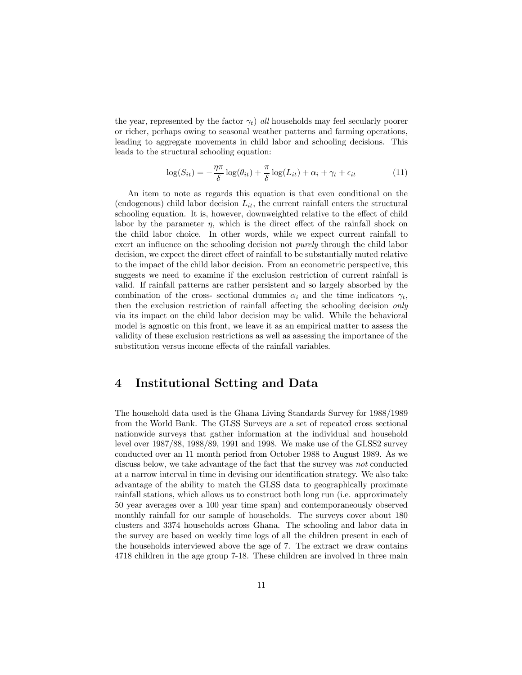the year, represented by the factor  $\gamma_t$ ) all households may feel secularly poorer or richer, perhaps owing to seasonal weather patterns and farming operations, leading to aggregate movements in child labor and schooling decisions. This leads to the structural schooling equation:

$$
\log(S_{it}) = -\frac{\eta \pi}{\delta} \log(\theta_{it}) + \frac{\pi}{\delta} \log(L_{it}) + \alpha_i + \gamma_t + \epsilon_{it}
$$
\n(11)

An item to note as regards this equation is that even conditional on the (endogenous) child labor decision  $L_{it}$ , the current rainfall enters the structural schooling equation. It is, however, downweighted relative to the effect of child labor by the parameter  $\eta$ , which is the direct effect of the rainfall shock on the child labor choice. In other words, while we expect current rainfall to exert an influence on the schooling decision not *purely* through the child labor decision, we expect the direct effect of rainfall to be substantially muted relative to the impact of the child labor decision. From an econometric perspective, this suggests we need to examine if the exclusion restriction of current rainfall is valid. If rainfall patterns are rather persistent and so largely absorbed by the combination of the cross- sectional dummies  $\alpha_i$  and the time indicators  $\gamma_t$ , then the exclusion restriction of rainfall affecting the schooling decision only via its impact on the child labor decision may be valid. While the behavioral model is agnostic on this front, we leave it as an empirical matter to assess the validity of these exclusion restrictions as well as assessing the importance of the substitution versus income effects of the rainfall variables.

## 4 Institutional Setting and Data

The household data used is the Ghana Living Standards Survey for 1988/1989 from the World Bank. The GLSS Surveys are a set of repeated cross sectional nationwide surveys that gather information at the individual and household level over 1987/88, 1988/89, 1991 and 1998. We make use of the GLSS2 survey conducted over an 11 month period from October 1988 to August 1989. As we discuss below, we take advantage of the fact that the survey was not conducted at a narrow interval in time in devising our identification strategy. We also take advantage of the ability to match the GLSS data to geographically proximate rainfall stations, which allows us to construct both long run (i.e. approximately 50 year averages over a 100 year time span) and contemporaneously observed monthly rainfall for our sample of households. The surveys cover about 180 clusters and 3374 households across Ghana. The schooling and labor data in the survey are based on weekly time logs of all the children present in each of the households interviewed above the age of 7. The extract we draw contains 4718 children in the age group 7-18. These children are involved in three main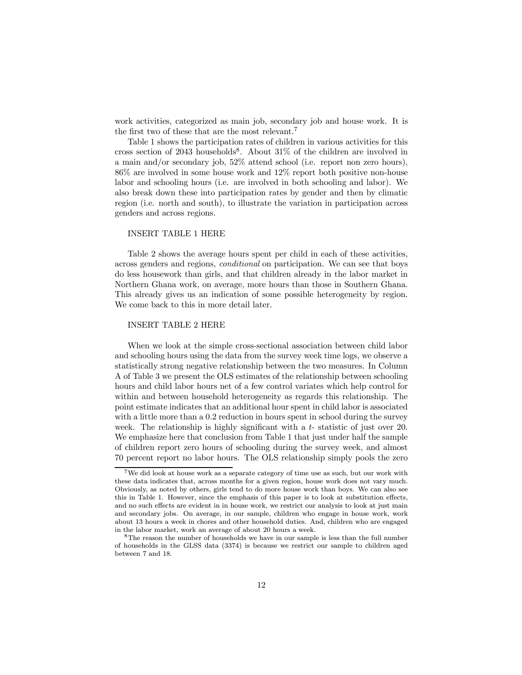work activities, categorized as main job, secondary job and house work. It is the first two of these that are the most relevant.<sup>7</sup>

Table 1 shows the participation rates of children in various activities for this cross section of 2043 households<sup>8</sup>. About  $31\%$  of the children are involved in a main and/or secondary job, 52% attend school (i.e. report non zero hours), 86% are involved in some house work and 12% report both positive non-house labor and schooling hours (i.e. are involved in both schooling and labor). We also break down these into participation rates by gender and then by climatic region (i.e. north and south), to illustrate the variation in participation across genders and across regions.

#### INSERT TABLE 1 HERE

Table 2 shows the average hours spent per child in each of these activities, across genders and regions, conditional on participation. We can see that boys do less housework than girls, and that children already in the labor market in Northern Ghana work, on average, more hours than those in Southern Ghana. This already gives us an indication of some possible heterogeneity by region. We come back to this in more detail later.

#### INSERT TABLE 2 HERE

When we look at the simple cross-sectional association between child labor and schooling hours using the data from the survey week time logs, we observe a statistically strong negative relationship between the two measures. In Column A of Table 3 we present the OLS estimates of the relationship between schooling hours and child labor hours net of a few control variates which help control for within and between household heterogeneity as regards this relationship. The point estimate indicates that an additional hour spent in child labor is associated with a little more than a 0.2 reduction in hours spent in school during the survey week. The relationship is highly significant with a t- statistic of just over 20. We emphasize here that conclusion from Table 1 that just under half the sample of children report zero hours of schooling during the survey week, and almost 70 percent report no labor hours. The OLS relationship simply pools the zero

<sup>&</sup>lt;sup>7</sup>We did look at house work as a separate category of time use as such, but our work with these data indicates that, across months for a given region, house work does not vary much. Obviously, as noted by others, girls tend to do more house work than boys. We can also see this in Table 1. However, since the emphasis of this paper is to look at substitution effects, and no such effects are evident in in house work, we restrict our analysis to look at just main and secondary jobs. On average, in our sample, children who engage in house work, work about 13 hours a week in chores and other household duties. And, children who are engaged in the labor market, work an average of about 20 hours a week.

<sup>8</sup>The reason the number of households we have in our sample is less than the full number of households in the GLSS data (3374) is because we restrict our sample to children aged between 7 and 18.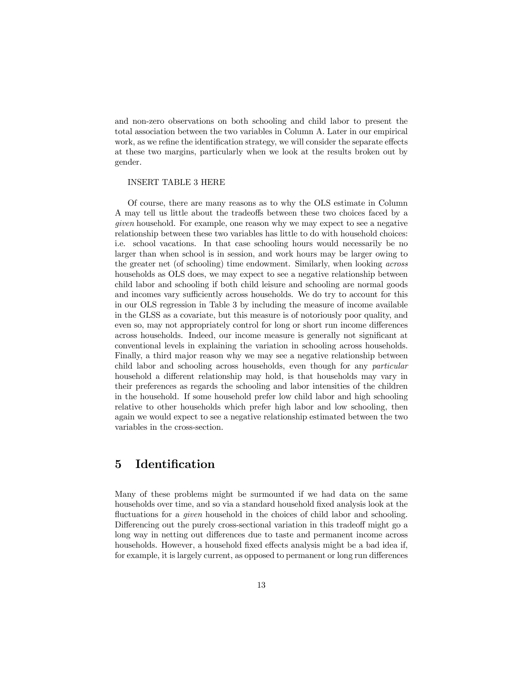and non-zero observations on both schooling and child labor to present the total association between the two variables in Column A. Later in our empirical work, as we refine the identification strategy, we will consider the separate effects at these two margins, particularly when we look at the results broken out by gender.

### INSERT TABLE 3 HERE

Of course, there are many reasons as to why the OLS estimate in Column A may tell us little about the tradeoffs between these two choices faced by a given household. For example, one reason why we may expect to see a negative relationship between these two variables has little to do with household choices: i.e. school vacations. In that case schooling hours would necessarily be no larger than when school is in session, and work hours may be larger owing to the greater net (of schooling) time endowment. Similarly, when looking across households as OLS does, we may expect to see a negative relationship between child labor and schooling if both child leisure and schooling are normal goods and incomes vary sufficiently across households. We do try to account for this in our OLS regression in Table 3 by including the measure of income available in the GLSS as a covariate, but this measure is of notoriously poor quality, and even so, may not appropriately control for long or short run income differences across households. Indeed, our income measure is generally not significant at conventional levels in explaining the variation in schooling across households. Finally, a third major reason why we may see a negative relationship between child labor and schooling across households, even though for any particular household a different relationship may hold, is that households may vary in their preferences as regards the schooling and labor intensities of the children in the household. If some household prefer low child labor and high schooling relative to other households which prefer high labor and low schooling, then again we would expect to see a negative relationship estimated between the two variables in the cross-section.

## 5 Identification

Many of these problems might be surmounted if we had data on the same households over time, and so via a standard household fixed analysis look at the fluctuations for a *given* household in the choices of child labor and schooling. Differencing out the purely cross-sectional variation in this tradeoff might go a long way in netting out differences due to taste and permanent income across households. However, a household fixed effects analysis might be a bad idea if, for example, it is largely current, as opposed to permanent or long run differences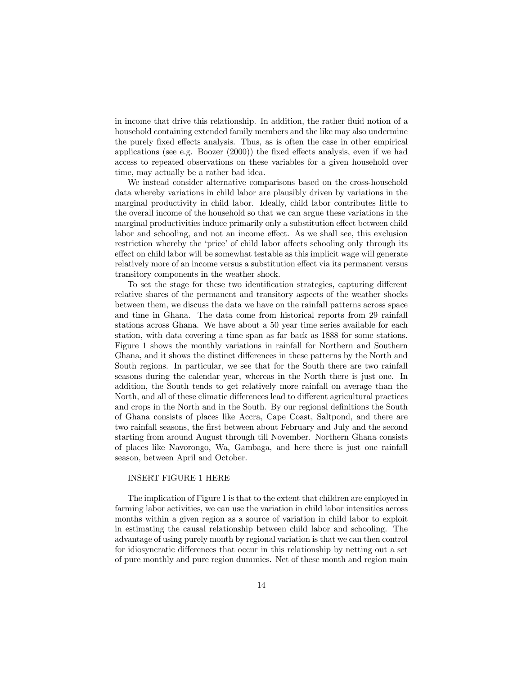in income that drive this relationship. In addition, the rather fluid notion of a household containing extended family members and the like may also undermine the purely fixed effects analysis. Thus, as is often the case in other empirical applications (see e.g. Boozer (2000)) the fixed effects analysis, even if we had access to repeated observations on these variables for a given household over time, may actually be a rather bad idea.

We instead consider alternative comparisons based on the cross-household data whereby variations in child labor are plausibly driven by variations in the marginal productivity in child labor. Ideally, child labor contributes little to the overall income of the household so that we can argue these variations in the marginal productivities induce primarily only a substitution effect between child labor and schooling, and not an income effect. As we shall see, this exclusion restriction whereby the 'price' of child labor affects schooling only through its effect on child labor will be somewhat testable as this implicit wage will generate relatively more of an income versus a substitution effect via its permanent versus transitory components in the weather shock.

To set the stage for these two identification strategies, capturing different relative shares of the permanent and transitory aspects of the weather shocks between them, we discuss the data we have on the rainfall patterns across space and time in Ghana. The data come from historical reports from 29 rainfall stations across Ghana. We have about a 50 year time series available for each station, with data covering a time span as far back as 1888 for some stations. Figure 1 shows the monthly variations in rainfall for Northern and Southern Ghana, and it shows the distinct differences in these patterns by the North and South regions. In particular, we see that for the South there are two rainfall seasons during the calendar year, whereas in the North there is just one. In addition, the South tends to get relatively more rainfall on average than the North, and all of these climatic differences lead to different agricultural practices and crops in the North and in the South. By our regional definitions the South of Ghana consists of places like Accra, Cape Coast, Saltpond, and there are two rainfall seasons, the first between about February and July and the second starting from around August through till November. Northern Ghana consists of places like Navorongo, Wa, Gambaga, and here there is just one rainfall season, between April and October.

### INSERT FIGURE 1 HERE

The implication of Figure 1 is that to the extent that children are employed in farming labor activities, we can use the variation in child labor intensities across months within a given region as a source of variation in child labor to exploit in estimating the causal relationship between child labor and schooling. The advantage of using purely month by regional variation is that we can then control for idiosyncratic differences that occur in this relationship by netting out a set of pure monthly and pure region dummies. Net of these month and region main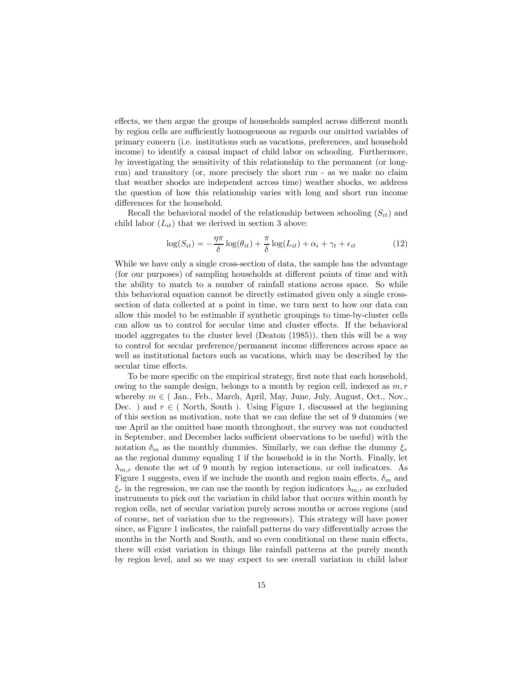effects, we then argue the groups of households sampled across different month by region cells are sufficiently homogeneous as regards our omitted variables of primary concern (i.e. institutions such as vacations, preferences, and household income) to identify a causal impact of child labor on schooling. Furthermore, by investigating the sensitivity of this relationship to the permanent (or longrun) and transitory (or, more precisely the short run - as we make no claim that weather shocks are independent across time) weather shocks, we address the question of how this relationship varies with long and short run income differences for the household.

Recall the behavioral model of the relationship between schooling  $(S_{it})$  and child labor  $(L_{it})$  that we derived in section 3 above:

$$
\log(S_{it}) = -\frac{\eta \pi}{\delta} \log(\theta_{it}) + \frac{\pi}{\delta} \log(L_{it}) + \alpha_i + \gamma_t + \epsilon_{it}
$$
 (12)

While we have only a single cross-section of data, the sample has the advantage (for our purposes) of sampling households at different points of time and with the ability to match to a number of rainfall stations across space. So while this behavioral equation cannot be directly estimated given only a single crosssection of data collected at a point in time, we turn next to how our data can allow this model to be estimable if synthetic groupings to time-by-cluster cells can allow us to control for secular time and cluster effects. If the behavioral model aggregates to the cluster level (Deaton (1985)), then this will be a way to control for secular preference/permanent income differences across space as well as institutional factors such as vacations, which may be described by the secular time effects.

To be more specific on the empirical strategy, first note that each household, owing to the sample design, belongs to a month by region cell, indexed as  $m, r$ whereby  $m \in ($  Jan., Feb., March, April, May, June, July, August, Oct., Nov., Dec. ) and  $r \in ($  North, South ). Using Figure 1, discussed at the beginning of this section as motivation, note that we can define the set of 9 dummies (we use April as the omitted base month throughout, the survey was not conducted in September, and December lacks sufficient observations to be useful) with the notation  $\delta_m$  as the monthly dummies. Similarly, we can define the dummy  $\xi_r$ as the regional dummy equaling 1 if the household is in the North. Finally, let  $\lambda_{m,r}$  denote the set of 9 month by region interactions, or cell indicators. As Figure 1 suggests, even if we include the month and region main effects,  $\delta_m$  and  $\xi_r$  in the regression, we can use the month by region indicators  $\lambda_{m,r}$  as excluded instruments to pick out the variation in child labor that occurs within month by region cells, net of secular variation purely across months or across regions (and of course, net of variation due to the regressors). This strategy will have power since, as Figure 1 indicates, the rainfall patterns do vary differentially across the months in the North and South, and so even conditional on these main effects, there will exist variation in things like rainfall patterns at the purely month by region level, and so we may expect to see overall variation in child labor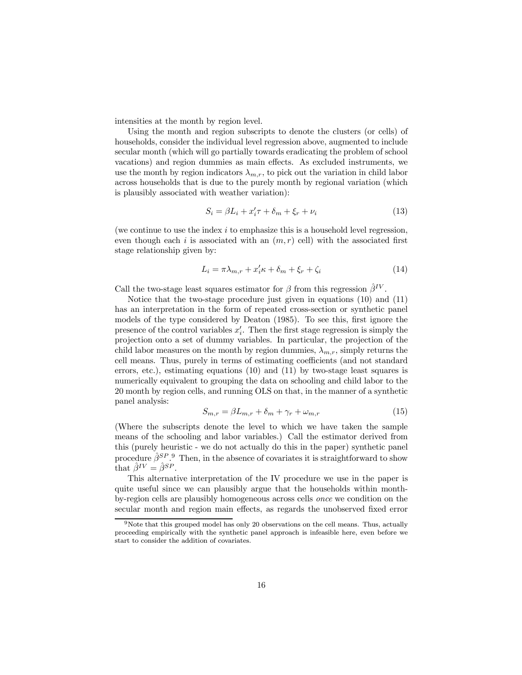intensities at the month by region level.

Using the month and region subscripts to denote the clusters (or cells) of households, consider the individual level regression above, augmented to include secular month (which will go partially towards eradicating the problem of school vacations) and region dummies as main effects. As excluded instruments, we use the month by region indicators  $\lambda_{m,r}$ , to pick out the variation in child labor across households that is due to the purely month by regional variation (which is plausibly associated with weather variation):

$$
S_i = \beta L_i + x'_i \tau + \delta_m + \xi_r + \nu_i \tag{13}
$$

(we continue to use the index  $i$  to emphasize this is a household level regression, even though each i is associated with an  $(m, r)$  cell) with the associated first stage relationship given by:

$$
L_i = \pi \lambda_{m,r} + x_i' \kappa + \delta_m + \xi_r + \zeta_i \tag{14}
$$

Call the two-stage least squares estimator for  $\beta$  from this regression  $\hat{\beta}^{IV}$ .

Notice that the two-stage procedure just given in equations (10) and (11) has an interpretation in the form of repeated cross-section or synthetic panel models of the type considered by Deaton (1985). To see this, first ignore the presence of the control variables  $x_i'$ . Then the first stage regression is simply the projection onto a set of dummy variables. In particular, the projection of the child labor measures on the month by region dummies,  $\lambda_{m,r}$ , simply returns the cell means. Thus, purely in terms of estimating coefficients (and not standard errors, etc.), estimating equations (10) and (11) by two-stage least squares is numerically equivalent to grouping the data on schooling and child labor to the 20 month by region cells, and running OLS on that, in the manner of a synthetic panel analysis:

$$
S_{m,r} = \beta L_{m,r} + \delta_m + \gamma_r + \omega_{m,r} \tag{15}
$$

(Where the subscripts denote the level to which we have taken the sample means of the schooling and labor variables.) Call the estimator derived from this (purely heuristic - we do not actually do this in the paper) synthetic panel procedure  $\hat{\beta}^{SP}$ . Then, in the absence of covariates it is straightforward to show that  $\hat{\beta}^{IV} = \hat{\beta}^{SP}$ .

This alternative interpretation of the IV procedure we use in the paper is quite useful since we can plausibly argue that the households within monthby-region cells are plausibly homogeneous across cells once we condition on the secular month and region main effects, as regards the unobserved fixed error

<sup>9</sup>Note that this grouped model has only 20 observations on the cell means. Thus, actually proceeding empirically with the synthetic panel approach is infeasible here, even before we start to consider the addition of covariates.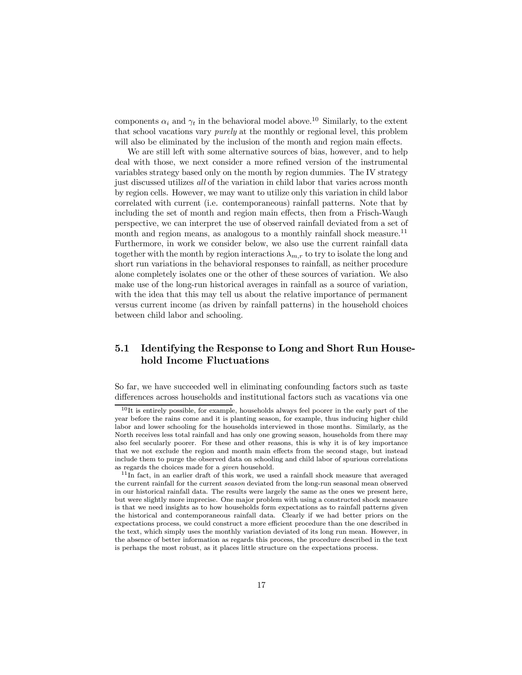components  $\alpha_i$  and  $\gamma_t$  in the behavioral model above.<sup>10</sup> Similarly, to the extent that school vacations vary purely at the monthly or regional level, this problem will also be eliminated by the inclusion of the month and region main effects.

We are still left with some alternative sources of bias, however, and to help deal with those, we next consider a more refined version of the instrumental variables strategy based only on the month by region dummies. The IV strategy just discussed utilizes all of the variation in child labor that varies across month by region cells. However, we may want to utilize only this variation in child labor correlated with current (i.e. contemporaneous) rainfall patterns. Note that by including the set of month and region main effects, then from a Frisch-Waugh perspective, we can interpret the use of observed rainfall deviated from a set of month and region means, as analogous to a monthly rainfall shock measure.<sup>11</sup> Furthermore, in work we consider below, we also use the current rainfall data together with the month by region interactions  $\lambda_{m,r}$  to try to isolate the long and short run variations in the behavioral responses to rainfall, as neither procedure alone completely isolates one or the other of these sources of variation. We also make use of the long-run historical averages in rainfall as a source of variation, with the idea that this may tell us about the relative importance of permanent versus current income (as driven by rainfall patterns) in the household choices between child labor and schooling.

## 5.1 Identifying the Response to Long and Short Run Household Income Fluctuations

So far, we have succeeded well in eliminating confounding factors such as taste differences across households and institutional factors such as vacations via one

<sup>&</sup>lt;sup>10</sup>It is entirely possible, for example, households always feel poorer in the early part of the year before the rains come and it is planting season, for example, thus inducing higher child labor and lower schooling for the households interviewed in those months. Similarly, as the North receives less total rainfall and has only one growing season, households from there may also feel secularly poorer. For these and other reasons, this is why it is of key importance that we not exclude the region and month main effects from the second stage, but instead include them to purge the observed data on schooling and child labor of spurious correlations as regards the choices made for a given household.

<sup>&</sup>lt;sup>11</sup>In fact, in an earlier draft of this work, we used a rainfall shock measure that averaged the current rainfall for the current season deviated from the long-run seasonal mean observed in our historical rainfall data. The results were largely the same as the ones we present here, but were slightly more imprecise. One major problem with using a constructed shock measure is that we need insights as to how households form expectations as to rainfall patterns given the historical and contemporaneous rainfall data. Clearly if we had better priors on the expectations process, we could construct a more efficient procedure than the one described in the text, which simply uses the monthly variation deviated of its long run mean. However, in the absence of better information as regards this process, the procedure described in the text is perhaps the most robust, as it places little structure on the expectations process.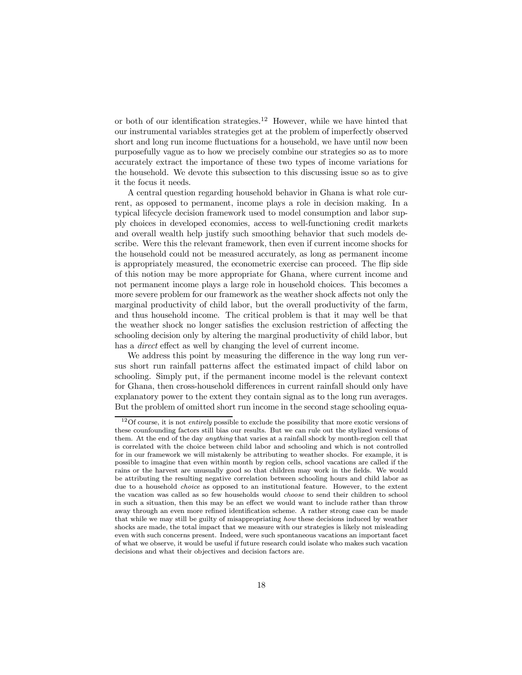or both of our identification strategies.<sup>12</sup> However, while we have hinted that our instrumental variables strategies get at the problem of imperfectly observed short and long run income fluctuations for a household, we have until now been purposefully vague as to how we precisely combine our strategies so as to more accurately extract the importance of these two types of income variations for the household. We devote this subsection to this discussing issue so as to give it the focus it needs.

A central question regarding household behavior in Ghana is what role current, as opposed to permanent, income plays a role in decision making. In a typical lifecycle decision framework used to model consumption and labor supply choices in developed economies, access to well-functioning credit markets and overall wealth help justify such smoothing behavior that such models describe. Were this the relevant framework, then even if current income shocks for the household could not be measured accurately, as long as permanent income is appropriately measured, the econometric exercise can proceed. The flip side of this notion may be more appropriate for Ghana, where current income and not permanent income plays a large role in household choices. This becomes a more severe problem for our framework as the weather shock affects not only the marginal productivity of child labor, but the overall productivity of the farm, and thus household income. The critical problem is that it may well be that the weather shock no longer satisfies the exclusion restriction of affecting the schooling decision only by altering the marginal productivity of child labor, but has a *direct* effect as well by changing the level of current income.

We address this point by measuring the difference in the way long run versus short run rainfall patterns affect the estimated impact of child labor on schooling. Simply put, if the permanent income model is the relevant context for Ghana, then cross-household differences in current rainfall should only have explanatory power to the extent they contain signal as to the long run averages. But the problem of omitted short run income in the second stage schooling equa-

<sup>&</sup>lt;sup>12</sup>Of course, it is not *entirely* possible to exclude the possibility that more exotic versions of these counfounding factors still bias our results. But we can rule out the stylized versions of them. At the end of the day anything that varies at a rainfall shock by month-region cell that is correlated with the choice between child labor and schooling and which is not controlled for in our framework we will mistakenly be attributing to weather shocks. For example, it is possible to imagine that even within month by region cells, school vacations are called if the rains or the harvest are unusually good so that children may work in the fields. We would be attributing the resulting negative correlation between schooling hours and child labor as due to a household choice as opposed to an institutional feature. However, to the extent the vacation was called as so few households would choose to send their children to school in such a situation, then this may be an effect we would want to include rather than throw away through an even more refined identification scheme. A rather strong case can be made that while we may still be guilty of misappropriating how these decisions induced by weather shocks are made, the total impact that we measure with our strategies is likely not misleading even with such concerns present. Indeed, were such spontaneous vacations an important facet of what we observe, it would be useful if future research could isolate who makes such vacation decisions and what their objectives and decision factors are.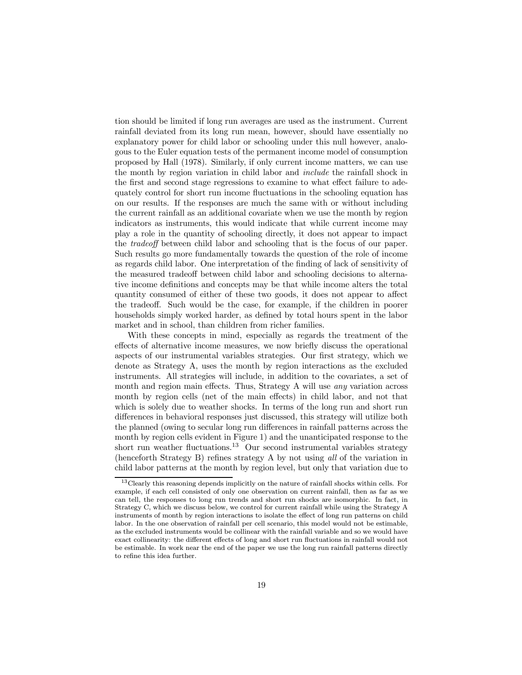tion should be limited if long run averages are used as the instrument. Current rainfall deviated from its long run mean, however, should have essentially no explanatory power for child labor or schooling under this null however, analogous to the Euler equation tests of the permanent income model of consumption proposed by Hall (1978). Similarly, if only current income matters, we can use the month by region variation in child labor and include the rainfall shock in the first and second stage regressions to examine to what effect failure to adequately control for short run income fluctuations in the schooling equation has on our results. If the responses are much the same with or without including the current rainfall as an additional covariate when we use the month by region indicators as instruments, this would indicate that while current income may play a role in the quantity of schooling directly, it does not appear to impact the tradeoff between child labor and schooling that is the focus of our paper. Such results go more fundamentally towards the question of the role of income as regards child labor. One interpretation of the finding of lack of sensitivity of the measured tradeoff between child labor and schooling decisions to alternative income definitions and concepts may be that while income alters the total quantity consumed of either of these two goods, it does not appear to affect the tradeoff. Such would be the case, for example, if the children in poorer households simply worked harder, as defined by total hours spent in the labor market and in school, than children from richer families.

With these concepts in mind, especially as regards the treatment of the effects of alternative income measures, we now briefly discuss the operational aspects of our instrumental variables strategies. Our first strategy, which we denote as Strategy A, uses the month by region interactions as the excluded instruments. All strategies will include, in addition to the covariates, a set of month and region main effects. Thus, Strategy A will use any variation across month by region cells (net of the main effects) in child labor, and not that which is solely due to weather shocks. In terms of the long run and short run differences in behavioral responses just discussed, this strategy will utilize both the planned (owing to secular long run differences in rainfall patterns across the month by region cells evident in Figure 1) and the unanticipated response to the short run weather fluctuations.<sup>13</sup> Our second instrumental variables strategy (henceforth Strategy B) refines strategy A by not using all of the variation in child labor patterns at the month by region level, but only that variation due to

<sup>13</sup>Clearly this reasoning depends implicitly on the nature of rainfall shocks within cells. For example, if each cell consisted of only one observation on current rainfall, then as far as we can tell, the responses to long run trends and short run shocks are isomorphic. In fact, in Strategy C, which we discuss below, we control for current rainfall while using the Strategy A instruments of month by region interactions to isolate the effect of long run patterns on child labor. In the one observation of rainfall per cell scenario, this model would not be estimable, as the excluded instruments would be collinear with the rainfall variable and so we would have exact collinearity: the different effects of long and short run fluctuations in rainfall would not be estimable. In work near the end of the paper we use the long run rainfall patterns directly to refine this idea further.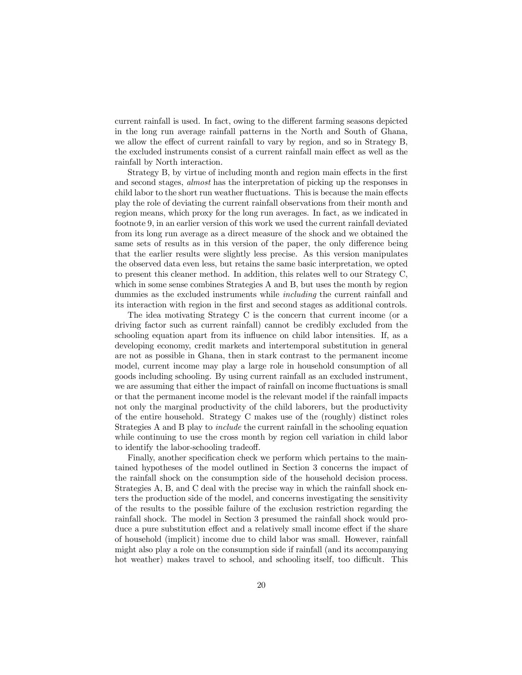current rainfall is used. In fact, owing to the different farming seasons depicted in the long run average rainfall patterns in the North and South of Ghana, we allow the effect of current rainfall to vary by region, and so in Strategy B, the excluded instruments consist of a current rainfall main effect as well as the rainfall by North interaction.

Strategy B, by virtue of including month and region main effects in the first and second stages, almost has the interpretation of picking up the responses in child labor to the short run weather fluctuations. This is because the main effects play the role of deviating the current rainfall observations from their month and region means, which proxy for the long run averages. In fact, as we indicated in footnote 9, in an earlier version of this work we used the current rainfall deviated from its long run average as a direct measure of the shock and we obtained the same sets of results as in this version of the paper, the only difference being that the earlier results were slightly less precise. As this version manipulates the observed data even less, but retains the same basic interpretation, we opted to present this cleaner method. In addition, this relates well to our Strategy C, which in some sense combines Strategies A and B, but uses the month by region dummies as the excluded instruments while including the current rainfall and its interaction with region in the first and second stages as additional controls.

The idea motivating Strategy C is the concern that current income (or a driving factor such as current rainfall) cannot be credibly excluded from the schooling equation apart from its influence on child labor intensities. If, as a developing economy, credit markets and intertemporal substitution in general are not as possible in Ghana, then in stark contrast to the permanent income model, current income may play a large role in household consumption of all goods including schooling. By using current rainfall as an excluded instrument, we are assuming that either the impact of rainfall on income fluctuations is small or that the permanent income model is the relevant model if the rainfall impacts not only the marginal productivity of the child laborers, but the productivity of the entire household. Strategy C makes use of the (roughly) distinct roles Strategies A and B play to include the current rainfall in the schooling equation while continuing to use the cross month by region cell variation in child labor to identify the labor-schooling tradeoff.

Finally, another specification check we perform which pertains to the maintained hypotheses of the model outlined in Section 3 concerns the impact of the rainfall shock on the consumption side of the household decision process. Strategies A, B, and C deal with the precise way in which the rainfall shock enters the production side of the model, and concerns investigating the sensitivity of the results to the possible failure of the exclusion restriction regarding the rainfall shock. The model in Section 3 presumed the rainfall shock would produce a pure substitution effect and a relatively small income effect if the share of household (implicit) income due to child labor was small. However, rainfall might also play a role on the consumption side if rainfall (and its accompanying hot weather) makes travel to school, and schooling itself, too difficult. This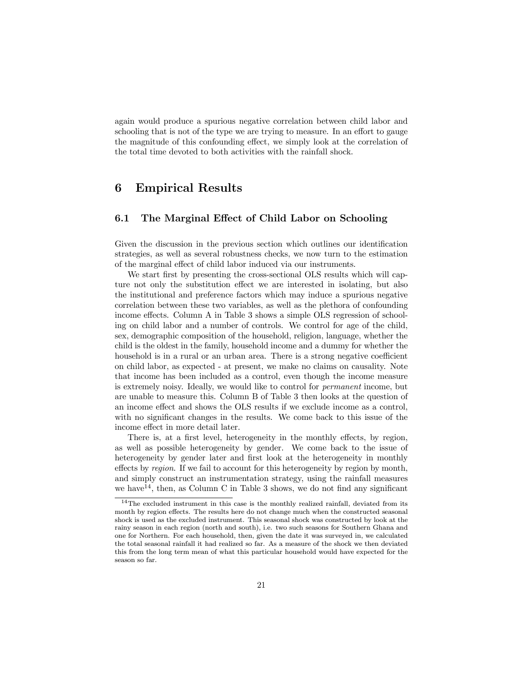again would produce a spurious negative correlation between child labor and schooling that is not of the type we are trying to measure. In an effort to gauge the magnitude of this confounding effect, we simply look at the correlation of the total time devoted to both activities with the rainfall shock.

## 6 Empirical Results

## 6.1 The Marginal Effect of Child Labor on Schooling

Given the discussion in the previous section which outlines our identification strategies, as well as several robustness checks, we now turn to the estimation of the marginal effect of child labor induced via our instruments.

We start first by presenting the cross-sectional OLS results which will capture not only the substitution effect we are interested in isolating, but also the institutional and preference factors which may induce a spurious negative correlation between these two variables, as well as the plethora of confounding income effects. Column A in Table 3 shows a simple OLS regression of schooling on child labor and a number of controls. We control for age of the child, sex, demographic composition of the household, religion, language, whether the child is the oldest in the family, household income and a dummy for whether the household is in a rural or an urban area. There is a strong negative coefficient on child labor, as expected - at present, we make no claims on causality. Note that income has been included as a control, even though the income measure is extremely noisy. Ideally, we would like to control for permanent income, but are unable to measure this. Column B of Table 3 then looks at the question of an income effect and shows the OLS results if we exclude income as a control, with no significant changes in the results. We come back to this issue of the income effect in more detail later.

There is, at a first level, heterogeneity in the monthly effects, by region, as well as possible heterogeneity by gender. We come back to the issue of heterogeneity by gender later and first look at the heterogeneity in monthly effects by region. If we fail to account for this heterogeneity by region by month, and simply construct an instrumentation strategy, using the rainfall measures we have  $14$ , then, as Column C in Table 3 shows, we do not find any significant

 $14$ The excluded instrument in this case is the monthly realized rainfall, deviated from its month by region effects. The results here do not change much when the constructed seasonal shock is used as the excluded instrument. This seasonal shock was constructed by look at the rainy season in each region (north and south), i.e. two such seasons for Southern Ghana and one for Northern. For each household, then, given the date it was surveyed in, we calculated the total seasonal rainfall it had realized so far. As a measure of the shock we then deviated this from the long term mean of what this particular household would have expected for the season so far.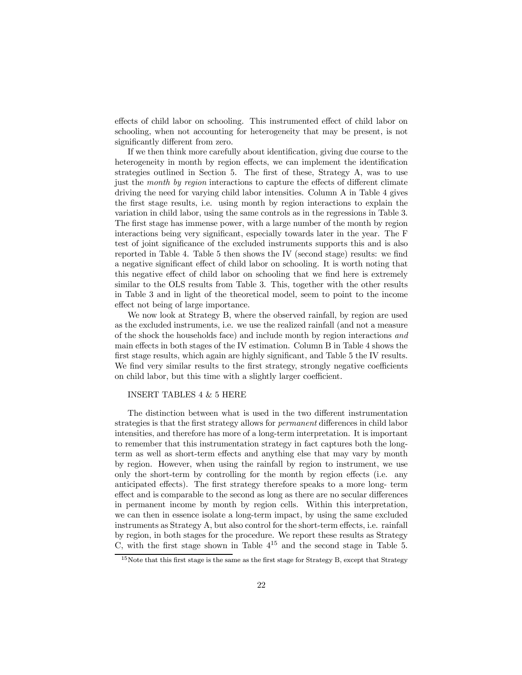effects of child labor on schooling. This instrumented effect of child labor on schooling, when not accounting for heterogeneity that may be present, is not significantly different from zero.

If we then think more carefully about identification, giving due course to the heterogeneity in month by region effects, we can implement the identification strategies outlined in Section 5. The first of these, Strategy A, was to use just the month by region interactions to capture the effects of different climate driving the need for varying child labor intensities. Column A in Table 4 gives the first stage results, i.e. using month by region interactions to explain the variation in child labor, using the same controls as in the regressions in Table 3. The first stage has immense power, with a large number of the month by region interactions being very significant, especially towards later in the year. The F test of joint significance of the excluded instruments supports this and is also reported in Table 4. Table 5 then shows the IV (second stage) results: we find a negative significant effect of child labor on schooling. It is worth noting that this negative effect of child labor on schooling that we find here is extremely similar to the OLS results from Table 3. This, together with the other results in Table 3 and in light of the theoretical model, seem to point to the income effect not being of large importance.

We now look at Strategy B, where the observed rainfall, by region are used as the excluded instruments, i.e. we use the realized rainfall (and not a measure of the shock the households face) and include month by region interactions and main effects in both stages of the IV estimation. Column B in Table 4 shows the first stage results, which again are highly significant, and Table 5 the IV results. We find very similar results to the first strategy, strongly negative coefficients on child labor, but this time with a slightly larger coefficient.

### INSERT TABLES 4 & 5 HERE

The distinction between what is used in the two different instrumentation strategies is that the first strategy allows for permanent differences in child labor intensities, and therefore has more of a long-term interpretation. It is important to remember that this instrumentation strategy in fact captures both the longterm as well as short-term effects and anything else that may vary by month by region. However, when using the rainfall by region to instrument, we use only the short-term by controlling for the month by region effects (i.e. any anticipated effects). The first strategy therefore speaks to a more long- term effect and is comparable to the second as long as there are no secular differences in permanent income by month by region cells. Within this interpretation, we can then in essence isolate a long-term impact, by using the same excluded instruments as Strategy A, but also control for the short-term effects, i.e. rainfall by region, in both stages for the procedure. We report these results as Strategy C, with the first stage shown in Table  $4^{15}$  and the second stage in Table 5.

<sup>&</sup>lt;sup>15</sup>Note that this first stage is the same as the first stage for Strategy B, except that Strategy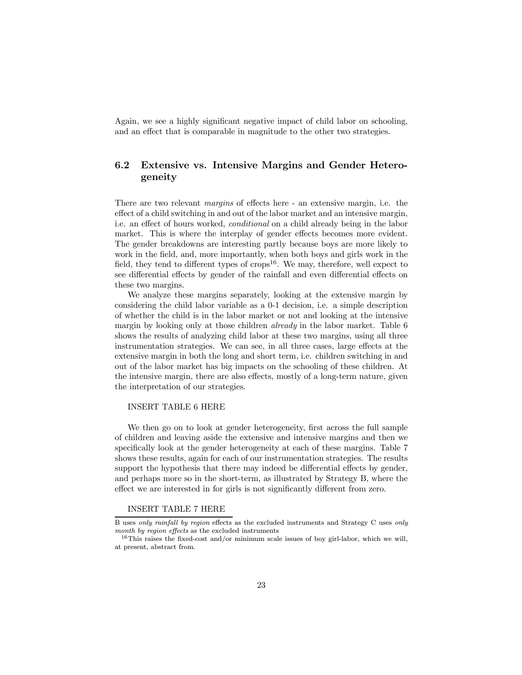Again, we see a highly significant negative impact of child labor on schooling, and an effect that is comparable in magnitude to the other two strategies.

## 6.2 Extensive vs. Intensive Margins and Gender Heterogeneity

There are two relevant margins of effects here - an extensive margin, i.e. the effect of a child switching in and out of the labor market and an intensive margin, i.e. an effect of hours worked, conditional on a child already being in the labor market. This is where the interplay of gender effects becomes more evident. The gender breakdowns are interesting partly because boys are more likely to work in the field, and, more importantly, when both boys and girls work in the field, they tend to different types of  $\text{crops}^{16}$ . We may, therefore, well expect to see differential effects by gender of the rainfall and even differential effects on these two margins.

We analyze these margins separately, looking at the extensive margin by considering the child labor variable as a 0-1 decision, i.e. a simple description of whether the child is in the labor market or not and looking at the intensive margin by looking only at those children *already* in the labor market. Table 6 shows the results of analyzing child labor at these two margins, using all three instrumentation strategies. We can see, in all three cases, large effects at the extensive margin in both the long and short term, i.e. children switching in and out of the labor market has big impacts on the schooling of these children. At the intensive margin, there are also effects, mostly of a long-term nature, given the interpretation of our strategies.

#### INSERT TABLE 6 HERE

We then go on to look at gender heterogeneity, first across the full sample of children and leaving aside the extensive and intensive margins and then we specifically look at the gender heterogeneity at each of these margins. Table 7 shows these results, again for each of our instrumentation strategies. The results support the hypothesis that there may indeed be differential effects by gender, and perhaps more so in the short-term, as illustrated by Strategy B, where the effect we are interested in for girls is not significantly different from zero.

### INSERT TABLE 7 HERE

B uses only rainfall by region effects as the excluded instruments and Strategy C uses only month by region effects as the excluded instruments

<sup>16</sup>This raises the fixed-cost and/or minimum scale issues of boy girl-labor, which we will, at present, abstract from.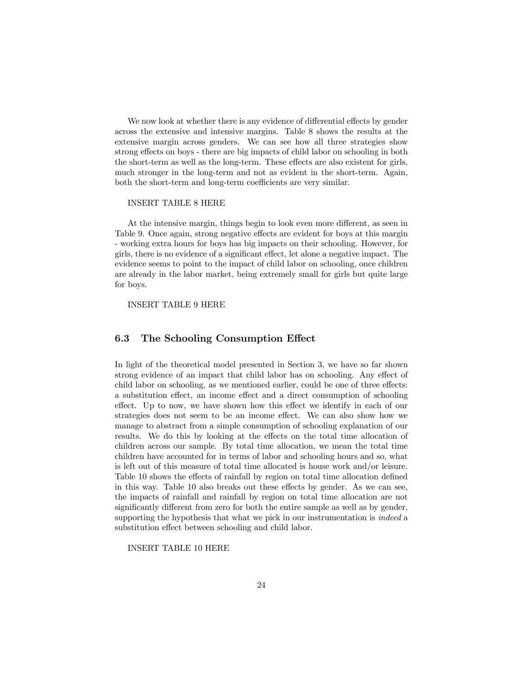We now look at whether there is any evidence of differential effects by gender across the extensive and intensive margins. Table 8 shows the results at the extensive margin across genders. We can see how all three strategies show strong effects on boys - there are big impacts of child labor on schooling in both the short-term as well as the long-term. These effects are also existent for girls, much stronger in the long-term and not as evident in the short-term. Again, both the short-term and long-term coefficients are very similar.

#### INSERT TABLE 8 HERE

At the intensive margin, things begin to look even more different, as seen in Table 9. Once again, strong negative effects are evident for boys at this margin - working extra hours for boys has big impacts on their schooling. However, for girls, there is no evidence of a significant effect, let alone a negative impact. The evidence seems to point to the impact of child labor on schooling, once children are already in the labor market, being extremely small for girls but quite large for boys.

INSERT TABLE 9 HERE

### 6.3 The Schooling Consumption Effect

In light of the theoretical model presented in Section 3, we have so far shown strong evidence of an impact that child labor has on schooling. Any effect of child labor on schooling, as we mentioned earlier, could be one of three effects: a substitution effect, an income effect and a direct consumption of schooling effect. Up to now, we have shown how this effect we identify in each of our strategies does not seem to be an income effect. We can also show how we manage to abstract from a simple consumption of schooling explanation of our results. We do this by looking at the effects on the total time allocation of children across our sample. By total time allocation, we mean the total time children have accounted for in terms of labor and schooling hours and so, what is left out of this measure of total time allocated is house work and/or leisure. Table 10 shows the effects of rainfall by region on total time allocation defined in this way. Table 10 also breaks out these effects by gender. As we can see, the impacts of rainfall and rainfall by region on total time allocation are not significantly different from zero for both the entire sample as well as by gender, supporting the hypothesis that what we pick in our instrumentation is *indeed* a substitution effect between schooling and child labor.

INSERT TABLE 10 HERE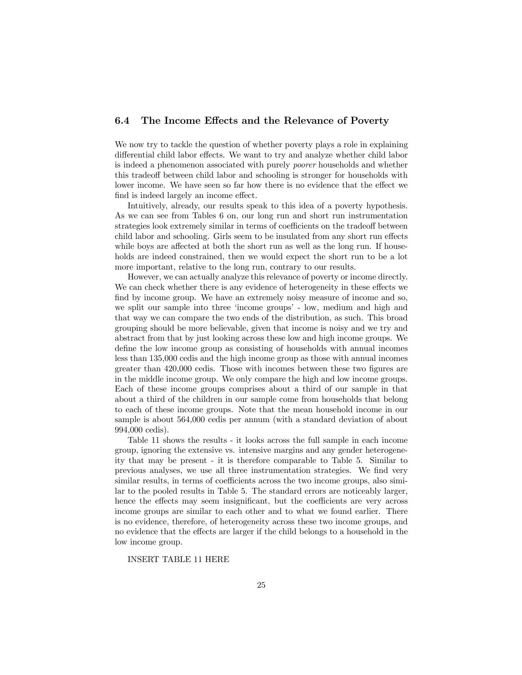## 6.4 The Income Effects and the Relevance of Poverty

We now try to tackle the question of whether poverty plays a role in explaining differential child labor effects. We want to try and analyze whether child labor is indeed a phenomenon associated with purely poorer households and whether this tradeoff between child labor and schooling is stronger for households with lower income. We have seen so far how there is no evidence that the effect we find is indeed largely an income effect.

Intuitively, already, our results speak to this idea of a poverty hypothesis. As we can see from Tables 6 on, our long run and short run instrumentation strategies look extremely similar in terms of coefficients on the tradeoff between child labor and schooling. Girls seem to be insulated from any short run effects while boys are affected at both the short run as well as the long run. If households are indeed constrained, then we would expect the short run to be a lot more important, relative to the long run, contrary to our results.

However, we can actually analyze this relevance of poverty or income directly. We can check whether there is any evidence of heterogeneity in these effects we find by income group. We have an extremely noisy measure of income and so, we split our sample into three 'income groups' - low, medium and high and that way we can compare the two ends of the distribution, as such. This broad grouping should be more believable, given that income is noisy and we try and abstract from that by just looking across these low and high income groups. We define the low income group as consisting of households with annual incomes less than 135,000 cedis and the high income group as those with annual incomes greater than 420,000 cedis. Those with incomes between these two figures are in the middle income group. We only compare the high and low income groups. Each of these income groups comprises about a third of our sample in that about a third of the children in our sample come from households that belong to each of these income groups. Note that the mean household income in our sample is about 564,000 cedis per annum (with a standard deviation of about 994,000 cedis).

Table 11 shows the results - it looks across the full sample in each income group, ignoring the extensive vs. intensive margins and any gender heterogeneity that may be present - it is therefore comparable to Table 5. Similar to previous analyses, we use all three instrumentation strategies. We find very similar results, in terms of coefficients across the two income groups, also similar to the pooled results in Table 5. The standard errors are noticeably larger, hence the effects may seem insignificant, but the coefficients are very across income groups are similar to each other and to what we found earlier. There is no evidence, therefore, of heterogeneity across these two income groups, and no evidence that the effects are larger if the child belongs to a household in the low income group.

INSERT TABLE 11 HERE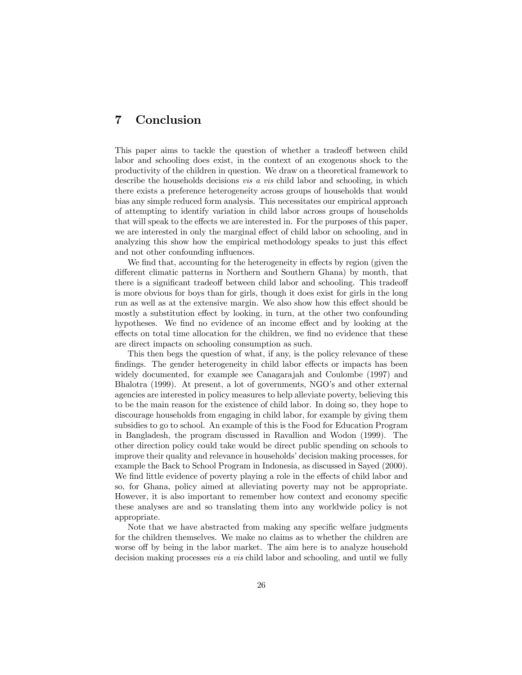## 7 Conclusion

This paper aims to tackle the question of whether a tradeoff between child labor and schooling does exist, in the context of an exogenous shock to the productivity of the children in question. We draw on a theoretical framework to describe the households decisions *vis a vis* child labor and schooling, in which there exists a preference heterogeneity across groups of households that would bias any simple reduced form analysis. This necessitates our empirical approach of attempting to identify variation in child labor across groups of households that will speak to the effects we are interested in. For the purposes of this paper, we are interested in only the marginal effect of child labor on schooling, and in analyzing this show how the empirical methodology speaks to just this effect and not other confounding influences.

We find that, accounting for the heterogeneity in effects by region (given the different climatic patterns in Northern and Southern Ghana) by month, that there is a significant tradeoff between child labor and schooling. This tradeoff is more obvious for boys than for girls, though it does exist for girls in the long run as well as at the extensive margin. We also show how this effect should be mostly a substitution effect by looking, in turn, at the other two confounding hypotheses. We find no evidence of an income effect and by looking at the effects on total time allocation for the children, we find no evidence that these are direct impacts on schooling consumption as such.

This then begs the question of what, if any, is the policy relevance of these findings. The gender heterogeneity in child labor effects or impacts has been widely documented, for example see Canagarajah and Coulombe (1997) and Bhalotra (1999). At present, a lot of governments, NGO's and other external agencies are interested in policy measures to help alleviate poverty, believing this to be the main reason for the existence of child labor. In doing so, they hope to discourage households from engaging in child labor, for example by giving them subsidies to go to school. An example of this is the Food for Education Program in Bangladesh, the program discussed in Ravallion and Wodon (1999). The other direction policy could take would be direct public spending on schools to improve their quality and relevance in households' decision making processes, for example the Back to School Program in Indonesia, as discussed in Sayed (2000). We find little evidence of poverty playing a role in the effects of child labor and so, for Ghana, policy aimed at alleviating poverty may not be appropriate. However, it is also important to remember how context and economy specific these analyses are and so translating them into any worldwide policy is not appropriate.

Note that we have abstracted from making any specific welfare judgments for the children themselves. We make no claims as to whether the children are worse off by being in the labor market. The aim here is to analyze household decision making processes vis a vis child labor and schooling, and until we fully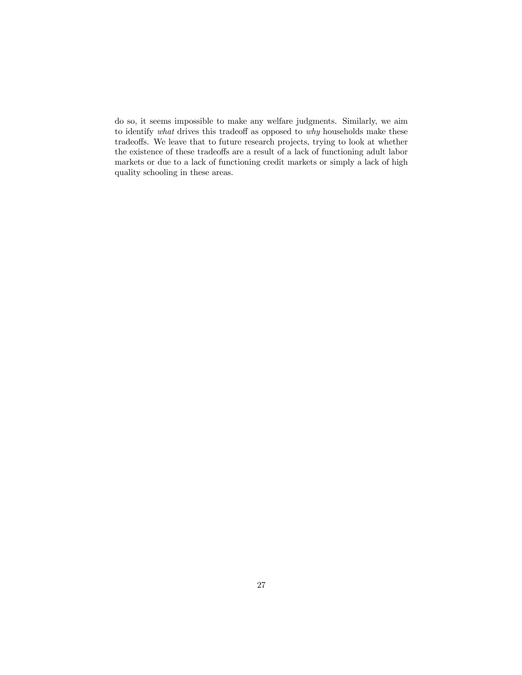do so, it seems impossible to make any welfare judgments. Similarly, we aim to identify what drives this tradeoff as opposed to why households make these tradeoffs. We leave that to future research projects, trying to look at whether the existence of these tradeoffs are a result of a lack of functioning adult labor markets or due to a lack of functioning credit markets or simply a lack of high quality schooling in these areas.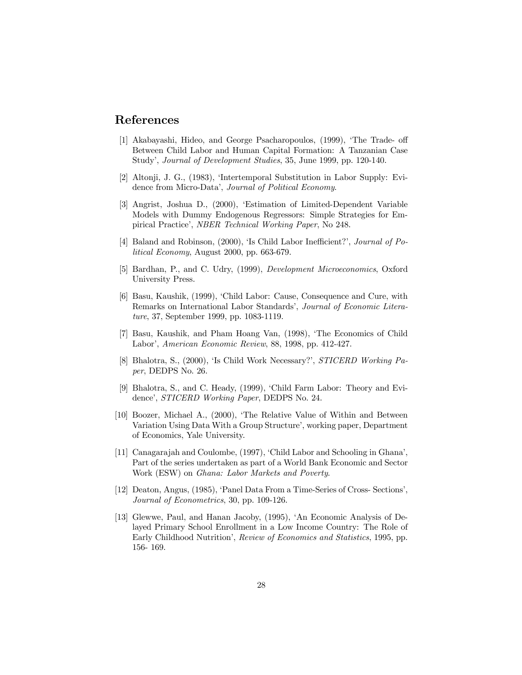## References

- [1] Akabayashi, Hideo, and George Psacharopoulos, (1999), ëThe Trade- off Between Child Labor and Human Capital Formation: A Tanzanian Case Study', Journal of Development Studies, 35, June 1999, pp. 120-140.
- [2] Altonji, J. G., (1983), ëIntertemporal Substitution in Labor Supply: Evidence from Micro-Data', Journal of Political Economy.
- [3] Angrist, Joshua D., (2000), ëEstimation of Limited-Dependent Variable Models with Dummy Endogenous Regressors: Simple Strategies for Empirical Practice', NBER Technical Working Paper, No 248.
- [4] Baland and Robinson,  $(2000)$ , 'Is Child Labor Inefficient?', *Journal of Po*litical Economy, August 2000, pp. 663-679.
- [5] Bardhan, P., and C. Udry, (1999), Development Microeconomics, Oxford University Press.
- [6] Basu, Kaushik, (1999), ëChild Labor: Cause, Consequence and Cure, with Remarks on International Labor Standards', Journal of Economic Literature, 37, September 1999, pp. 1083-1119.
- [7] Basu, Kaushik, and Pham Hoang Van, (1998), ëThe Economics of Child Labor', American Economic Review, 88, 1998, pp. 412-427.
- [8] Bhalotra, S., (2000), 'Is Child Work Necessary?', STICERD Working Paper, DEDPS No. 26.
- [9] Bhalotra, S., and C. Heady, (1999), ëChild Farm Labor: Theory and Evidence', STICERD Working Paper, DEDPS No. 24.
- [10] Boozer, Michael A., (2000), ëThe Relative Value of Within and Between Variation Using Data With a Group Structure', working paper, Department of Economics, Yale University.
- [11] Canagarajah and Coulombe, (1997), ëChild Labor and Schooling in Ghanaí, Part of the series undertaken as part of a World Bank Economic and Sector Work (ESW) on Ghana: Labor Markets and Poverty.
- [12] Deaton, Angus, (1985), ëPanel Data From a Time-Series of Cross- Sectionsí, Journal of Econometrics, 30, pp. 109-126.
- [13] Glewwe, Paul, and Hanan Jacoby, (1995), ëAn Economic Analysis of Delayed Primary School Enrollment in a Low Income Country: The Role of Early Childhood Nutrition', *Review of Economics and Statistics*, 1995, pp. 156- 169.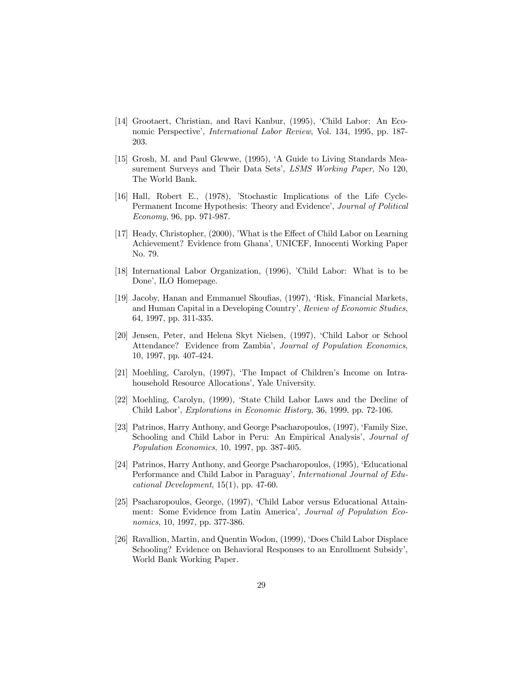- [14] Grootaert, Christian, and Ravi Kanbur, (1995), ëChild Labor: An Economic Perspective', *International Labor Review*, Vol. 134, 1995, pp. 187-203.
- [15] Grosh, M. and Paul Glewwe, (1995), ëA Guide to Living Standards Measurement Surveys and Their Data Sets', LSMS Working Paper, No 120, The World Bank.
- [16] Hall, Robert E., (1978), 'Stochastic Implications of the Life Cycle-Permanent Income Hypothesis: Theory and Evidence', Journal of Political Economy, 96, pp. 971-987.
- [17] Heady, Christopher, (2000), 'What is the Effect of Child Labor on Learning Achievement? Evidence from Ghana', UNICEF, Innocenti Working Paper No. 79.
- [18] International Labor Organization, (1996), 'Child Labor: What is to be Done', ILO Homepage.
- [19] Jacoby, Hanan and Emmanuel Skoufias, (1997), ëRisk, Financial Markets, and Human Capital in a Developing Country', Review of Economic Studies, 64, 1997, pp. 311-335.
- [20] Jensen, Peter, and Helena Skyt Nielsen, (1997), ëChild Labor or School Attendance? Evidence from Zambia', Journal of Population Economics, 10, 1997, pp. 407-424.
- [21] Moehling, Carolyn, (1997), 'The Impact of Children's Income on Intrahousehold Resource Allocations', Yale University.
- [22] Moehling, Carolyn, (1999), ëState Child Labor Laws and the Decline of Child Labor', Explorations in Economic History, 36, 1999, pp. 72-106.
- [23] Patrinos, Harry Anthony, and George Psacharopoulos, (1997), 'Family Size, Schooling and Child Labor in Peru: An Empirical Analysis', *Journal of* Population Economics, 10, 1997, pp. 387-405.
- [24] Patrinos, Harry Anthony, and George Psacharopoulos, (1995), 'Educational Performance and Child Labor in Paraguay', International Journal of Educational Development, 15(1), pp. 47-60.
- [25] Psacharopoulos, George, (1997), ëChild Labor versus Educational Attainment: Some Evidence from Latin America', Journal of Population Economics, 10, 1997, pp. 377-386.
- [26] Ravallion, Martin, and Quentin Wodon, (1999), 'Does Child Labor Displace Schooling? Evidence on Behavioral Responses to an Enrollment Subsidy', World Bank Working Paper.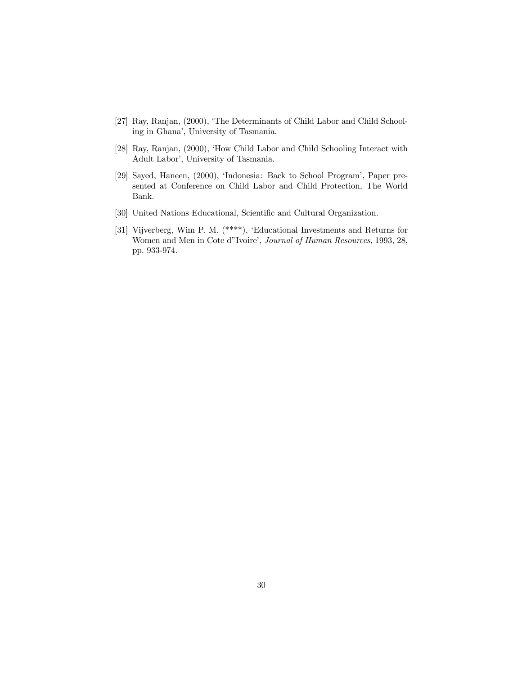- [27] Ray, Ranjan, (2000), 'The Determinants of Child Labor and Child Schooling in Ghanaí, University of Tasmania.
- [28] Ray, Ranjan, (2000), 'How Child Labor and Child Schooling Interact with Adult Labor', University of Tasmania.
- [29] Sayed, Haneen, (2000), 'Indonesia: Back to School Program', Paper presented at Conference on Child Labor and Child Protection, The World Bank.
- [30] United Nations Educational, Scientific and Cultural Organization.
- [31] Vijverberg, Wim P. M. (\*\*\*\*), ëEducational Investments and Returns for Women and Men in Cote d"Ivoire', Journal of Human Resources, 1993, 28, pp. 933-974.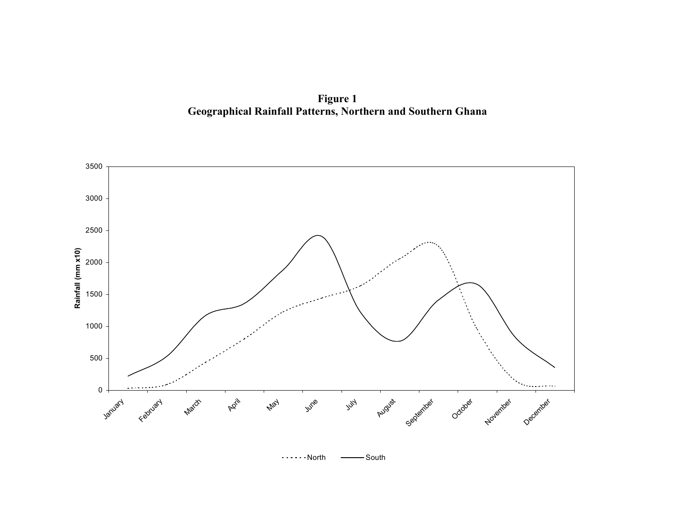**Figure 1 Geographical Rainfall Patterns, Northern and Southern Ghana** 



 SouthNorth $\sim$   $\sim$   $\sim$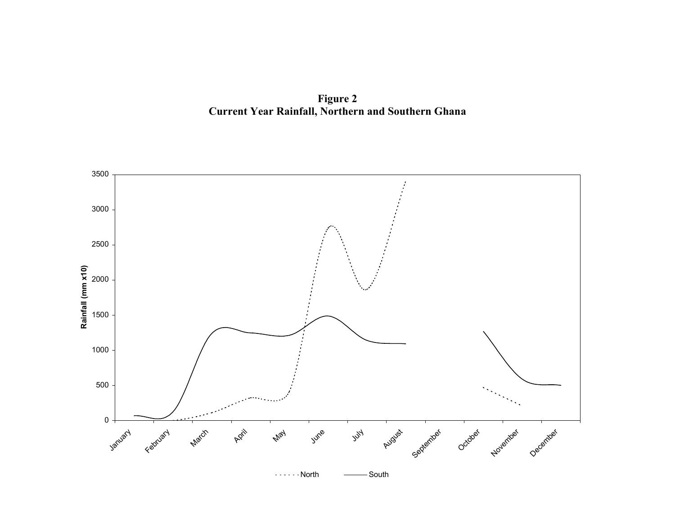**Figure 2 Current Year Rainfall, Northern and Southern Ghana** 

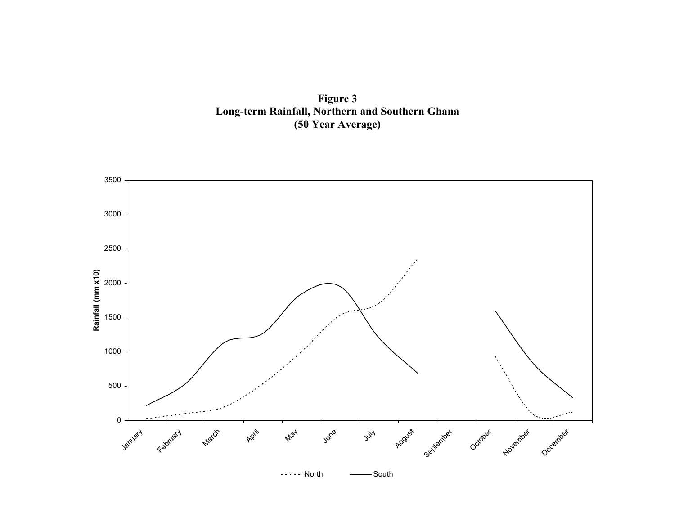**Figure 3 Long-term Rainfall, Northern and Southern Ghana (50 Year Average)** 

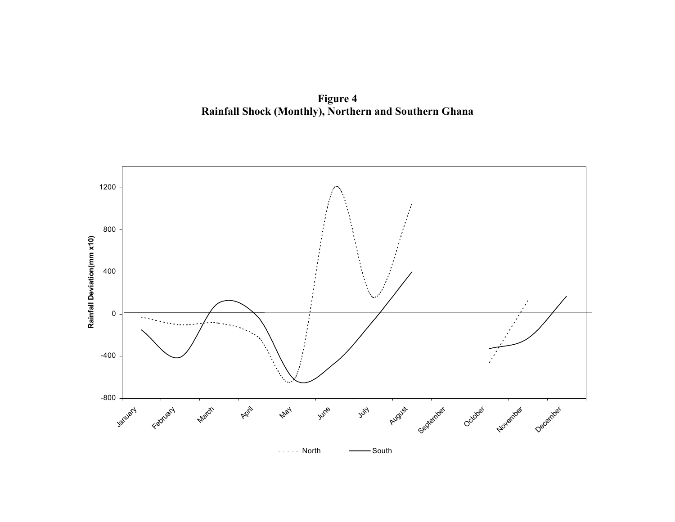**Figure 4 Rainfall Shock (Monthly), Northern and Southern Ghana** 

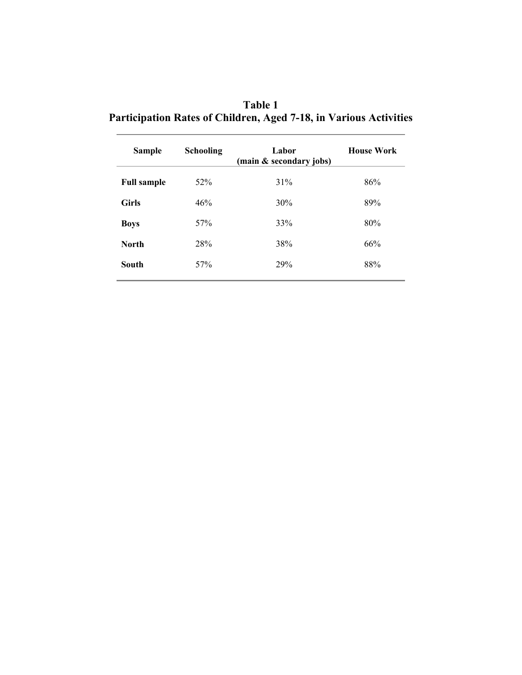| Table 1                                                                  |
|--------------------------------------------------------------------------|
| <b>Participation Rates of Children, Aged 7-18, in Various Activities</b> |

| <b>Sample</b>      | <b>Schooling</b> | Labor<br>(main & secondary jobs) | <b>House Work</b> |
|--------------------|------------------|----------------------------------|-------------------|
| <b>Full sample</b> | 52%              | 31%                              | 86%               |
| <b>Girls</b>       | 46%              | 30%                              | 89%               |
| <b>Boys</b>        | 57%              | 33%                              | 80%               |
| <b>North</b>       | 28%              | 38%                              | 66%               |
| South              | 57%              | 29%                              | 88%               |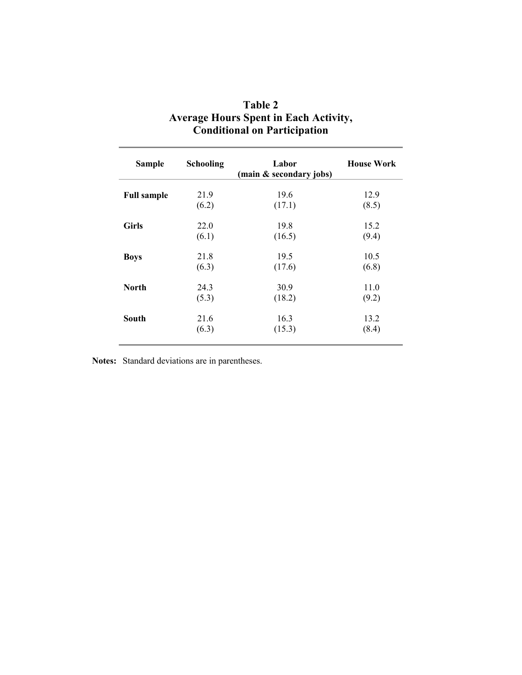| <b>Sample</b>      | <b>Schooling</b> | Labor<br>(main & secondary jobs) | <b>House Work</b> |
|--------------------|------------------|----------------------------------|-------------------|
| <b>Full sample</b> | 21.9             | 19.6                             | 12.9              |
|                    | (6.2)            | (17.1)                           | (8.5)             |
| <b>Girls</b>       | 22.0             | 19.8                             | 15.2              |
|                    | (6.1)            | (16.5)                           | (9.4)             |
| <b>Boys</b>        | 21.8             | 19.5                             | 10.5              |
|                    | (6.3)            | (17.6)                           | (6.8)             |
| <b>North</b>       | 24.3             | 30.9                             | 11.0              |
|                    | (5.3)            | (18.2)                           | (9.2)             |
| South              | 21.6             | 16.3                             | 13.2              |
|                    | (6.3)            | (15.3)                           | (8.4)             |

| Table 2                                      |
|----------------------------------------------|
| <b>Average Hours Spent in Each Activity,</b> |
| <b>Conditional on Participation</b>          |

**Notes:** Standard deviations are in parentheses.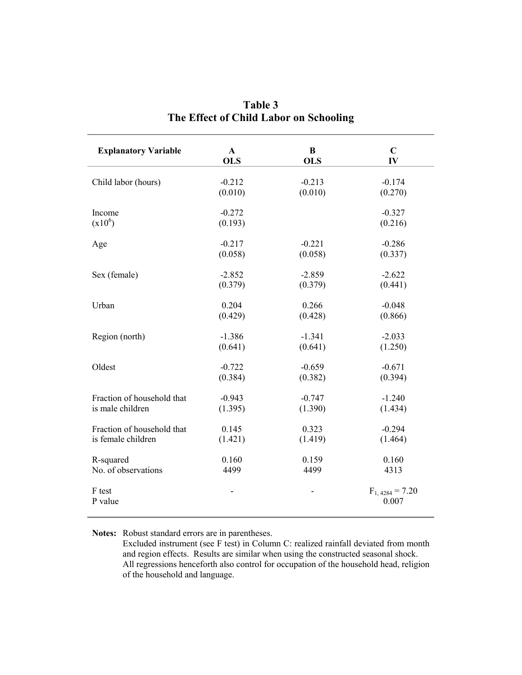| <b>Explanatory Variable</b> | $\mathbf{A}$ | B          | $\mathbf C$                  |
|-----------------------------|--------------|------------|------------------------------|
|                             | <b>OLS</b>   | <b>OLS</b> | IV                           |
| Child labor (hours)         | $-0.212$     | $-0.213$   | $-0.174$                     |
|                             | (0.010)      | (0.010)    | (0.270)                      |
| Income                      | $-0.272$     |            | $-0.327$                     |
| $(x10^6)$                   | (0.193)      |            | (0.216)                      |
| Age                         | $-0.217$     | $-0.221$   | $-0.286$                     |
|                             | (0.058)      | (0.058)    | (0.337)                      |
| Sex (female)                | $-2.852$     | $-2.859$   | $-2.622$                     |
|                             | (0.379)      | (0.379)    | (0.441)                      |
| Urban                       | 0.204        | 0.266      | $-0.048$                     |
|                             | (0.429)      | (0.428)    | (0.866)                      |
| Region (north)              | $-1.386$     | $-1.341$   | $-2.033$                     |
|                             | (0.641)      | (0.641)    | (1.250)                      |
| Oldest                      | $-0.722$     | $-0.659$   | $-0.671$                     |
|                             | (0.384)      | (0.382)    | (0.394)                      |
| Fraction of household that  | $-0.943$     | $-0.747$   | $-1.240$                     |
| is male children            | (1.395)      | (1.390)    | (1.434)                      |
| Fraction of household that  | 0.145        | 0.323      | $-0.294$                     |
| is female children          | (1.421)      | (1.419)    | (1.464)                      |
| R-squared                   | 0.160        | 0.159      | 0.160                        |
| No. of observations         | 4499         | 4499       | 4313                         |
| F test<br>P value           |              |            | $F_{1,4284} = 7.20$<br>0.007 |

**Table 3 The Effect of Child Labor on Schooling** 

**Notes:** Robust standard errors are in parentheses.

Excluded instrument (see F test) in Column C: realized rainfall deviated from month and region effects. Results are similar when using the constructed seasonal shock. All regressions henceforth also control for occupation of the household head, religion of the household and language.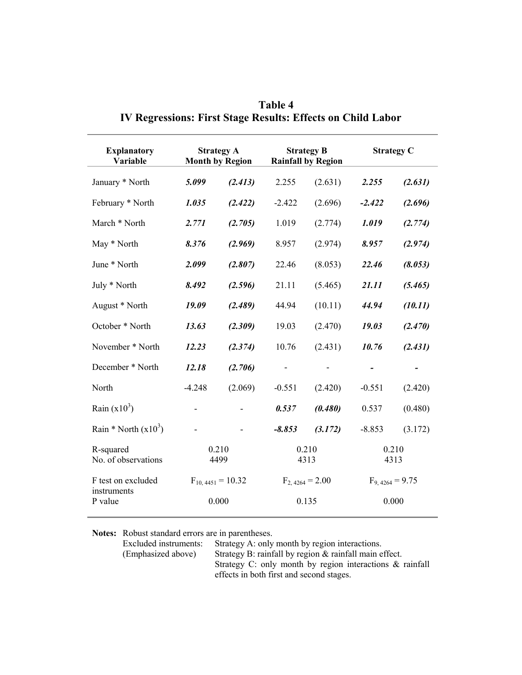| <b>Explanatory</b><br>Variable   | <b>Strategy A</b><br><b>Month by Region</b> |                       |                     | <b>Strategy B</b><br><b>Rainfall by Region</b> |                     | <b>Strategy C</b> |
|----------------------------------|---------------------------------------------|-----------------------|---------------------|------------------------------------------------|---------------------|-------------------|
| January * North                  | 5.099                                       | (2.413)               | 2.255               | (2.631)                                        | 2.255               | (2.631)           |
| February * North                 | 1.035                                       | (2.422)               | $-2.422$            | (2.696)                                        | $-2.422$            | (2.696)           |
| March * North                    | 2.771                                       | (2.705)               | 1.019               | (2.774)                                        | 1.019               | (2.774)           |
| May * North                      | 8.376                                       | (2.969)               | 8.957               | (2.974)                                        | 8.957               | (2.974)           |
| June * North                     | 2.099                                       | (2.807)               | 22.46               | (8.053)                                        | 22.46               | (8.053)           |
| July * North                     | 8.492                                       | (2.596)               | 21.11               | (5.465)                                        | 21.11               | (5.465)           |
| August * North                   | 19.09                                       | (2.489)               | 44.94               | (10.11)                                        | 44.94               | (10.11)           |
| October * North                  | 13.63                                       | (2.309)               | 19.03               | (2.470)                                        | 19.03               | (2.470)           |
| November * North                 | 12.23                                       | (2.374)               | 10.76               | (2.431)                                        | 10.76               | (2.431)           |
| December * North                 | 12.18                                       | (2.706)               |                     |                                                |                     |                   |
| North                            | $-4.248$                                    | (2.069)               | $-0.551$            | (2.420)                                        | $-0.551$            | (2.420)           |
| Rain $(x10^3)$                   |                                             |                       | 0.537               | (0.480)                                        | 0.537               | (0.480)           |
| Rain * North $(x10^3)$           |                                             |                       | $-8.853$            | (3.172)                                        | $-8.853$            | (3.172)           |
| R-squared<br>No. of observations | 0.210<br>4499                               |                       | 0.210<br>4313       |                                                | 0.210<br>4313       |                   |
| F test on excluded               |                                             | $F_{10,4451} = 10.32$ | $F_{2,4264} = 2.00$ |                                                | $F_{9,4264} = 9.75$ |                   |
| instruments<br>P value           |                                             | 0.000                 |                     | 0.135                                          |                     | 0.000             |

|                                                             | Table 4 |  |  |
|-------------------------------------------------------------|---------|--|--|
| IV Regressions: First Stage Results: Effects on Child Labor |         |  |  |

**Notes:** Robust standard errors are in parentheses.

| Excluded instruments: | Strategy A: only month by region interactions.              |
|-----------------------|-------------------------------------------------------------|
| (Emphasized above)    | Strategy B: rainfall by region & rainfall main effect.      |
|                       | Strategy C: only month by region interactions $\&$ rainfall |
|                       | effects in both first and second stages.                    |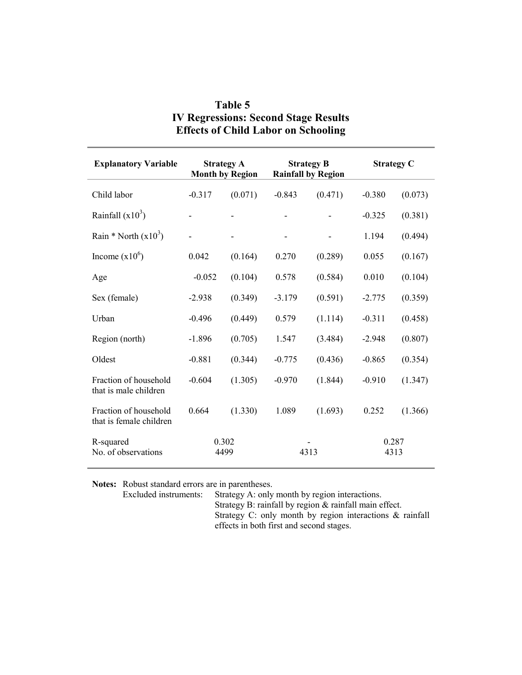| <b>Explanatory Variable</b>                      | <b>Strategy A</b><br><b>Month by Region</b> |         | <b>Strategy B</b><br><b>Rainfall by Region</b> |         | <b>Strategy C</b> |         |
|--------------------------------------------------|---------------------------------------------|---------|------------------------------------------------|---------|-------------------|---------|
| Child labor                                      | $-0.317$                                    | (0.071) | $-0.843$                                       | (0.471) | $-0.380$          | (0.073) |
| Rainfall $(x10^3)$                               |                                             |         |                                                |         | $-0.325$          | (0.381) |
| Rain * North $(x10^3)$                           |                                             |         |                                                |         | 1.194             | (0.494) |
| Income $(x10^6)$                                 | 0.042                                       | (0.164) | 0.270                                          | (0.289) | 0.055             | (0.167) |
| Age                                              | $-0.052$                                    | (0.104) | 0.578                                          | (0.584) | 0.010             | (0.104) |
| Sex (female)                                     | $-2.938$                                    | (0.349) | $-3.179$                                       | (0.591) | $-2.775$          | (0.359) |
| Urban                                            | $-0.496$                                    | (0.449) | 0.579                                          | (1.114) | $-0.311$          | (0.458) |
| Region (north)                                   | $-1.896$                                    | (0.705) | 1.547                                          | (3.484) | $-2.948$          | (0.807) |
| Oldest                                           | $-0.881$                                    | (0.344) | $-0.775$                                       | (0.436) | $-0.865$          | (0.354) |
| Fraction of household<br>that is male children   | $-0.604$                                    | (1.305) | $-0.970$                                       | (1.844) | $-0.910$          | (1.347) |
| Fraction of household<br>that is female children | 0.664                                       | (1.330) | 1.089                                          | (1.693) | 0.252             | (1.366) |
| R-squared<br>No. of observations                 | 0.302<br>4499                               |         | 4313                                           |         | 0.287<br>4313     |         |

## **Table 5 IV Regressions: Second Stage Results Effects of Child Labor on Schooling**

**Notes:** Robust standard errors are in parentheses.<br>Excluded instruments: Strategy A: only

Strategy A: only month by region interactions.

Strategy B: rainfall by region & rainfall main effect. Strategy C: only month by region interactions & rainfall effects in both first and second stages.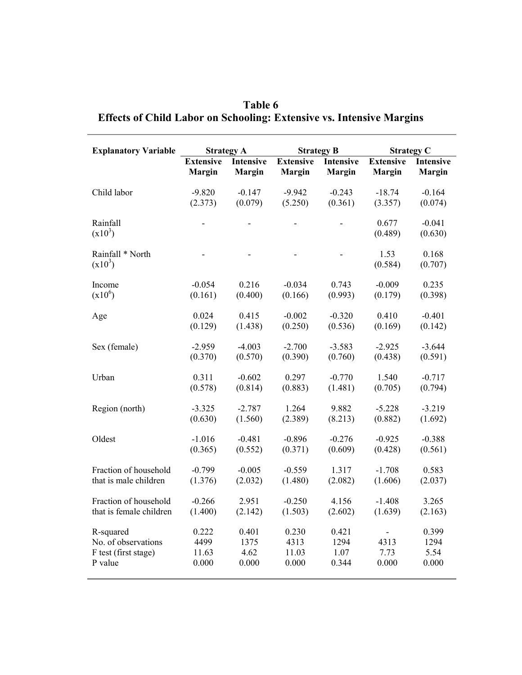| <b>Explanatory Variable</b>   |                  | <b>Strategy A</b> |                  | <b>Strategy B</b> | <b>Strategy C</b> |                     |
|-------------------------------|------------------|-------------------|------------------|-------------------|-------------------|---------------------|
|                               | <b>Extensive</b> | <b>Intensive</b>  | <b>Extensive</b> | <b>Intensive</b>  | <b>Extensive</b>  | Intensive           |
|                               | <b>Margin</b>    | <b>Margin</b>     | <b>Margin</b>    | <b>Margin</b>     | <b>Margin</b>     | <b>Margin</b>       |
| Child labor                   | $-9.820$         | $-0.147$          | $-9.942$         | $-0.243$          | $-18.74$          | $-0.164$            |
|                               | (2.373)          | (0.079)           | (5.250)          | (0.361)           | (3.357)           | (0.074)             |
| Rainfall<br>$(x10^3)$         |                  |                   |                  |                   | 0.677<br>(0.489)  | $-0.041$<br>(0.630) |
| Rainfall * North<br>$(x10^3)$ |                  |                   |                  |                   | 1.53<br>(0.584)   | 0.168<br>(0.707)    |
| Income                        | $-0.054$         | 0.216             | $-0.034$         | 0.743             | $-0.009$          | 0.235               |
| $(x10^6)$                     | (0.161)          | (0.400)           | (0.166)          | (0.993)           | (0.179)           | (0.398)             |
| Age                           | 0.024            | 0.415             | $-0.002$         | $-0.320$          | 0.410             | $-0.401$            |
|                               | (0.129)          | (1.438)           | (0.250)          | (0.536)           | (0.169)           | (0.142)             |
| Sex (female)                  | $-2.959$         | $-4.003$          | $-2.700$         | $-3.583$          | $-2.925$          | $-3.644$            |
|                               | (0.370)          | (0.570)           | (0.390)          | (0.760)           | (0.438)           | (0.591)             |
| Urban                         | 0.311            | $-0.602$          | 0.297            | $-0.770$          | 1.540             | $-0.717$            |
|                               | (0.578)          | (0.814)           | (0.883)          | (1.481)           | (0.705)           | (0.794)             |
| Region (north)                | $-3.325$         | $-2.787$          | 1.264            | 9.882             | $-5.228$          | $-3.219$            |
|                               | (0.630)          | (1.560)           | (2.389)          | (8.213)           | (0.882)           | (1.692)             |
| Oldest                        | $-1.016$         | $-0.481$          | $-0.896$         | $-0.276$          | $-0.925$          | $-0.388$            |
|                               | (0.365)          | (0.552)           | (0.371)          | (0.609)           | (0.428)           | (0.561)             |
| Fraction of household         | $-0.799$         | $-0.005$          | $-0.559$         | 1.317             | $-1.708$          | 0.583               |
| that is male children         | (1.376)          | (2.032)           | (1.480)          | (2.082)           | (1.606)           | (2.037)             |
| Fraction of household         | $-0.266$         | 2.951             | $-0.250$         | 4.156             | $-1.408$          | 3.265               |
| that is female children       | (1.400)          | (2.142)           | (1.503)          | (2.602)           | (1.639)           | (2.163)             |
| R-squared                     | 0.222            | 0.401             | 0.230            | 0.421             | $\blacksquare$    | 0.399               |
| No. of observations           | 4499             | 1375              | 4313             | 1294              | 4313              | 1294                |
| F test (first stage)          | 11.63            | 4.62              | 11.03            | 1.07              | 7.73              | 5.54                |
| P value                       | 0.000            | 0.000             | 0.000            | 0.344             | 0.000             | 0.000               |

**Table 6 Effects of Child Labor on Schooling: Extensive vs. Intensive Margins**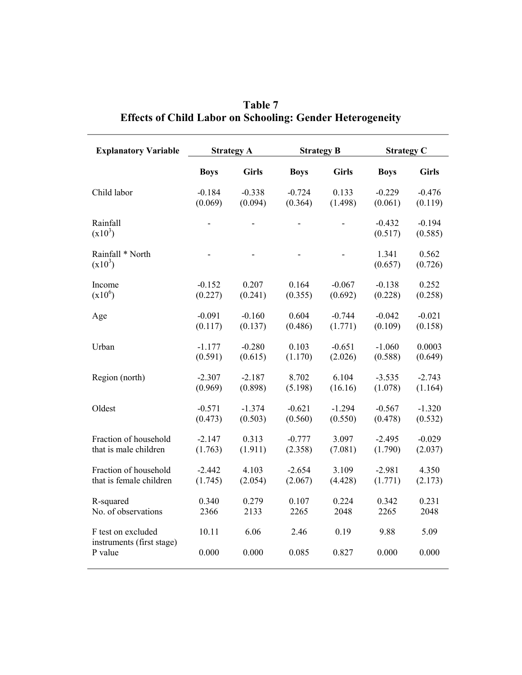| <b>Explanatory Variable</b>                                | <b>Strategy A</b> |               | <b>Strategy B</b> |                | <b>Strategy C</b>   |                     |
|------------------------------------------------------------|-------------------|---------------|-------------------|----------------|---------------------|---------------------|
|                                                            | <b>Boys</b>       | <b>Girls</b>  | <b>Boys</b>       | <b>Girls</b>   | <b>Boys</b>         | <b>Girls</b>        |
| Child labor                                                | $-0.184$          | $-0.338$      | $-0.724$          | 0.133          | $-0.229$            | $-0.476$            |
|                                                            | (0.069)           | (0.094)       | (0.364)           | (1.498)        | (0.061)             | (0.119)             |
| Rainfall<br>$(x10^3)$                                      |                   |               |                   |                | $-0.432$<br>(0.517) | $-0.194$<br>(0.585) |
| Rainfall * North<br>$(x10^3)$                              |                   |               |                   | $\overline{a}$ | 1.341<br>(0.657)    | 0.562<br>(0.726)    |
| Income                                                     | $-0.152$          | 0.207         | 0.164             | $-0.067$       | $-0.138$            | 0.252               |
| $(x10^6)$                                                  | (0.227)           | (0.241)       | (0.355)           | (0.692)        | (0.228)             | (0.258)             |
| Age                                                        | $-0.091$          | $-0.160$      | 0.604             | $-0.744$       | $-0.042$            | $-0.021$            |
|                                                            | (0.117)           | (0.137)       | (0.486)           | (1.771)        | (0.109)             | (0.158)             |
| Urban                                                      | $-1.177$          | $-0.280$      | 0.103             | $-0.651$       | $-1.060$            | 0.0003              |
|                                                            | (0.591)           | (0.615)       | (1.170)           | (2.026)        | (0.588)             | (0.649)             |
| Region (north)                                             | $-2.307$          | $-2.187$      | 8.702             | 6.104          | $-3.535$            | $-2.743$            |
|                                                            | (0.969)           | (0.898)       | (5.198)           | (16.16)        | (1.078)             | (1.164)             |
| Oldest                                                     | $-0.571$          | $-1.374$      | $-0.621$          | $-1.294$       | $-0.567$            | $-1.320$            |
|                                                            | (0.473)           | (0.503)       | (0.560)           | (0.550)        | (0.478)             | (0.532)             |
| Fraction of household                                      | $-2.147$          | 0.313         | $-0.777$          | 3.097          | $-2.495$            | $-0.029$            |
| that is male children                                      | (1.763)           | (1.911)       | (2.358)           | (7.081)        | (1.790)             | (2.037)             |
| Fraction of household                                      | $-2.442$          | 4.103         | $-2.654$          | 3.109          | $-2.981$            | 4.350               |
| that is female children                                    | (1.745)           | (2.054)       | (2.067)           | (4.428)        | (1.771)             | (2.173)             |
| R-squared                                                  | 0.340             | 0.279         | 0.107             | 0.224          | 0.342               | 0.231               |
| No. of observations                                        | 2366              | 2133          | 2265              | 2048           | 2265                | 2048                |
| F test on excluded<br>instruments (first stage)<br>P value | 10.11<br>0.000    | 6.06<br>0.000 | 2.46<br>0.085     | 0.19<br>0.827  | 9.88<br>0.000       | 5.09<br>0.000       |

|                                                                  | Table 7 |  |
|------------------------------------------------------------------|---------|--|
| <b>Effects of Child Labor on Schooling: Gender Heterogeneity</b> |         |  |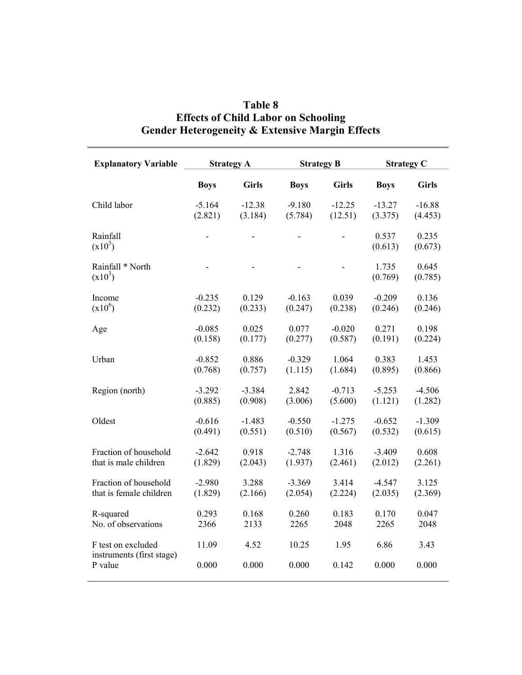| <b>Explanatory Variable</b>                     | <b>Strategy A</b> |              | <b>Strategy B</b> |              | <b>Strategy C</b> |                  |
|-------------------------------------------------|-------------------|--------------|-------------------|--------------|-------------------|------------------|
|                                                 | <b>Boys</b>       | <b>Girls</b> | <b>Boys</b>       | <b>Girls</b> | <b>Boys</b>       | <b>Girls</b>     |
| Child labor                                     | $-5.164$          | $-12.38$     | $-9.180$          | $-12.25$     | $-13.27$          | $-16.88$         |
|                                                 | (2.821)           | (3.184)      | (5.784)           | (12.51)      | (3.375)           | (4.453)          |
| Rainfall<br>$(x10^3)$                           |                   |              |                   |              | 0.537<br>(0.613)  | 0.235<br>(0.673) |
| Rainfall * North<br>$(x10^3)$                   |                   |              |                   |              | 1.735<br>(0.769)  | 0.645<br>(0.785) |
| Income                                          | $-0.235$          | 0.129        | $-0.163$          | 0.039        | $-0.209$          | 0.136            |
| $(x10^6)$                                       | (0.232)           | (0.233)      | (0.247)           | (0.238)      | (0.246)           | (0.246)          |
| Age                                             | $-0.085$          | 0.025        | 0.077             | $-0.020$     | 0.271             | 0.198            |
|                                                 | (0.158)           | (0.177)      | (0.277)           | (0.587)      | (0.191)           | (0.224)          |
| Urban                                           | $-0.852$          | 0.886        | $-0.329$          | 1.064        | 0.383             | 1.453            |
|                                                 | (0.768)           | (0.757)      | (1.115)           | (1.684)      | (0.895)           | (0.866)          |
| Region (north)                                  | $-3.292$          | $-3.384$     | 2.842             | $-0.713$     | $-5.253$          | $-4.506$         |
|                                                 | (0.885)           | (0.908)      | (3.006)           | (5.600)      | (1.121)           | (1.282)          |
| Oldest                                          | $-0.616$          | $-1.483$     | $-0.550$          | $-1.275$     | $-0.652$          | $-1.309$         |
|                                                 | (0.491)           | (0.551)      | (0.510)           | (0.567)      | (0.532)           | (0.615)          |
| Fraction of household                           | $-2.642$          | 0.918        | $-2.748$          | 1.316        | $-3.409$          | 0.608            |
| that is male children                           | (1.829)           | (2.043)      | (1.937)           | (2.461)      | (2.012)           | (2.261)          |
| Fraction of household                           | $-2.980$          | 3.288        | $-3.369$          | 3.414        | $-4.547$          | 3.125            |
| that is female children                         | (1.829)           | (2.166)      | (2.054)           | (2.224)      | (2.035)           | (2.369)          |
| R-squared                                       | 0.293             | 0.168        | 0.260             | 0.183        | 0.170             | 0.047            |
| No. of observations                             | 2366              | 2133         | 2265              | 2048         | 2265              | 2048             |
| F test on excluded<br>instruments (first stage) | 11.09             | 4.52         | 10.25             | 1.95         | 6.86              | 3.43             |
| P value                                         | 0.000             | 0.000        | 0.000             | 0.142        | 0.000             | 0.000            |

# **Table 8 Effects of Child Labor on Schooling Gender Heterogeneity & Extensive Margin Effects**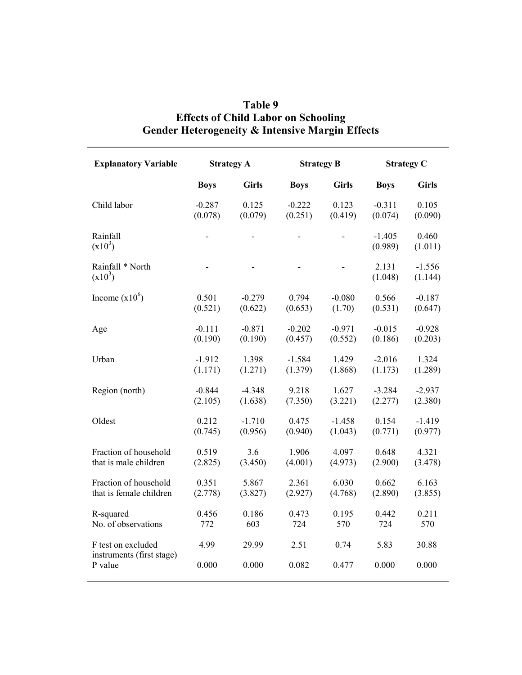| <b>Explanatory Variable</b>                     | <b>Strategy A</b> |              | <b>Strategy B</b> |              | <b>Strategy C</b>   |                     |
|-------------------------------------------------|-------------------|--------------|-------------------|--------------|---------------------|---------------------|
|                                                 | <b>Boys</b>       | <b>Girls</b> | <b>Boys</b>       | <b>Girls</b> | <b>Boys</b>         | <b>Girls</b>        |
| Child labor                                     | $-0.287$          | 0.125        | $-0.222$          | 0.123        | $-0.311$            | 0.105               |
|                                                 | (0.078)           | (0.079)      | (0.251)           | (0.419)      | (0.074)             | (0.090)             |
| Rainfall<br>$(x10^3)$                           |                   |              |                   |              | $-1.405$<br>(0.989) | 0.460<br>(1.011)    |
| Rainfall * North<br>$(x10^3)$                   |                   |              |                   |              | 2.131<br>(1.048)    | $-1.556$<br>(1.144) |
| Income $(x10^6)$                                | 0.501             | $-0.279$     | 0.794             | $-0.080$     | 0.566               | $-0.187$            |
|                                                 | (0.521)           | (0.622)      | (0.653)           | (1.70)       | (0.531)             | (0.647)             |
| Age                                             | $-0.111$          | $-0.871$     | $-0.202$          | $-0.971$     | $-0.015$            | $-0.928$            |
|                                                 | (0.190)           | (0.190)      | (0.457)           | (0.552)      | (0.186)             | (0.203)             |
| Urban                                           | $-1.912$          | 1.398        | $-1.584$          | 1.429        | $-2.016$            | 1.324               |
|                                                 | (1.171)           | (1.271)      | (1.379)           | (1.868)      | (1.173)             | (1.289)             |
| Region (north)                                  | $-0.844$          | $-4.348$     | 9.218             | 1.627        | $-3.284$            | $-2.937$            |
|                                                 | (2.105)           | (1.638)      | (7.350)           | (3.221)      | (2.277)             | (2.380)             |
| Oldest                                          | 0.212             | $-1.710$     | 0.475             | $-1.458$     | 0.154               | $-1.419$            |
|                                                 | (0.745)           | (0.956)      | (0.940)           | (1.043)      | (0.771)             | (0.977)             |
| Fraction of household                           | 0.519             | 3.6          | 1.906             | 4.097        | 0.648               | 4.321               |
| that is male children                           | (2.825)           | (3.450)      | (4.001)           | (4.973)      | (2.900)             | (3.478)             |
| Fraction of household                           | 0.351             | 5.867        | 2.361             | 6.030        | 0.662               | 6.163               |
| that is female children                         | (2.778)           | (3.827)      | (2.927)           | (4.768)      | (2.890)             | (3.855)             |
| R-squared                                       | 0.456             | 0.186        | 0.473             | 0.195        | 0.442               | 0.211               |
| No. of observations                             | 772               | 603          | 724               | 570          | 724                 | 570                 |
| F test on excluded<br>instruments (first stage) | 4.99              | 29.99        | 2.51              | 0.74         | 5.83                | 30.88               |
| P value                                         | 0.000             | 0.000        | 0.082             | 0.477        | 0.000               | 0.000               |

# **Table 9 Effects of Child Labor on Schooling Gender Heterogeneity & Intensive Margin Effects**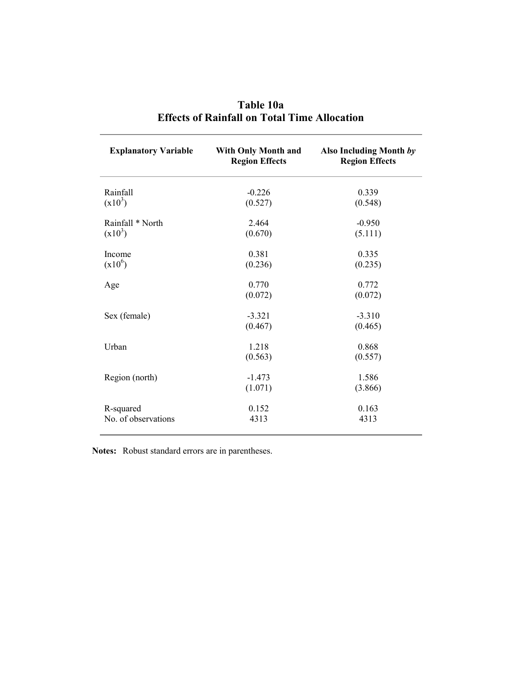| <b>Explanatory Variable</b>      | <b>With Only Month and</b><br><b>Region Effects</b> | Also Including Month by<br><b>Region Effects</b> |
|----------------------------------|-----------------------------------------------------|--------------------------------------------------|
| Rainfall<br>$(x10^3)$            | $-0.226$<br>(0.527)                                 | 0.339<br>(0.548)                                 |
| Rainfall * North<br>$(x10^3)$    | 2.464<br>(0.670)                                    | $-0.950$<br>(5.111)                              |
| Income<br>$(x10^6)$              | 0.381<br>(0.236)                                    | 0.335<br>(0.235)                                 |
| Age                              | 0.770<br>(0.072)                                    | 0.772<br>(0.072)                                 |
| Sex (female)                     | $-3.321$<br>(0.467)                                 | $-3.310$<br>(0.465)                              |
| Urban                            | 1.218<br>(0.563)                                    | 0.868<br>(0.557)                                 |
| Region (north)                   | $-1.473$<br>(1.071)                                 | 1.586<br>(3.866)                                 |
| R-squared<br>No. of observations | 0.152<br>4313                                       | 0.163<br>4313                                    |

| Table 10a                                           |  |  |  |  |  |  |  |
|-----------------------------------------------------|--|--|--|--|--|--|--|
| <b>Effects of Rainfall on Total Time Allocation</b> |  |  |  |  |  |  |  |

**Notes:** Robust standard errors are in parentheses.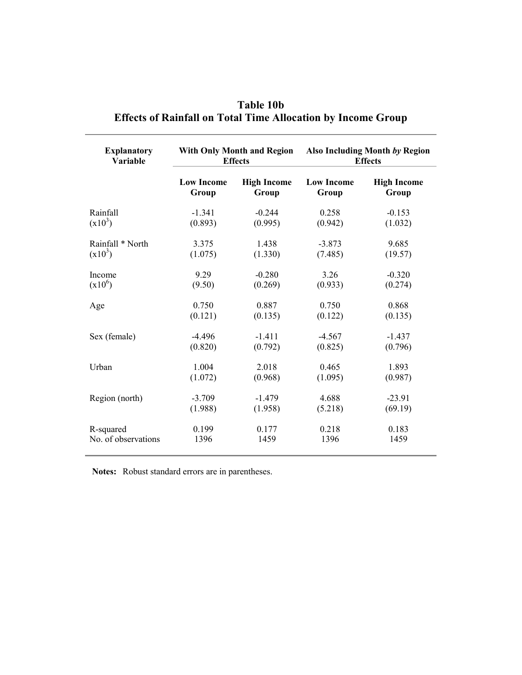| <b>Explanatory</b>  |                   | <b>With Only Month and Region</b> | Also Including Month by Region |                    |  |
|---------------------|-------------------|-----------------------------------|--------------------------------|--------------------|--|
| Variable            |                   | <b>Effects</b>                    | <b>Effects</b>                 |                    |  |
|                     | <b>Low Income</b> | <b>High Income</b>                | <b>Low Income</b>              | <b>High Income</b> |  |
|                     | Group             | Group                             | Group                          | Group              |  |
| Rainfall            | $-1.341$          | $-0.244$                          | 0.258                          | $-0.153$           |  |
| $(x10^3)$           | (0.893)           | (0.995)                           | (0.942)                        | (1.032)            |  |
| Rainfall * North    | 3.375             | 1.438                             | $-3.873$                       | 9.685              |  |
| $(x10^3)$           | (1.075)           | (1.330)                           | (7.485)                        | (19.57)            |  |
| Income              | 9.29              | $-0.280$                          | 3.26                           | $-0.320$           |  |
| $(x10^6)$           | (9.50)            | (0.269)                           | (0.933)                        | (0.274)            |  |
| Age                 | 0.750             | 0.887                             | 0.750                          | 0.868              |  |
|                     | (0.121)           | (0.135)                           | (0.122)                        | (0.135)            |  |
| Sex (female)        | $-4.496$          | $-1.411$                          | $-4.567$                       | $-1.437$           |  |
|                     | (0.820)           | (0.792)                           | (0.825)                        | (0.796)            |  |
| Urban               | 1.004             | 2.018                             | 0.465                          | 1.893              |  |
|                     | (1.072)           | (0.968)                           | (1.095)                        | (0.987)            |  |
| Region (north)      | $-3.709$          | $-1.479$                          | 4.688                          | $-23.91$           |  |
|                     | (1.988)           | (1.958)                           | (5.218)                        | (69.19)            |  |
| R-squared           | 0.199             | 0.177                             | 0.218                          | 0.183              |  |
| No. of observations | 1396              | 1459                              | 1396                           | 1459               |  |

# **Table 10b Effects of Rainfall on Total Time Allocation by Income Group**

**Notes:** Robust standard errors are in parentheses.